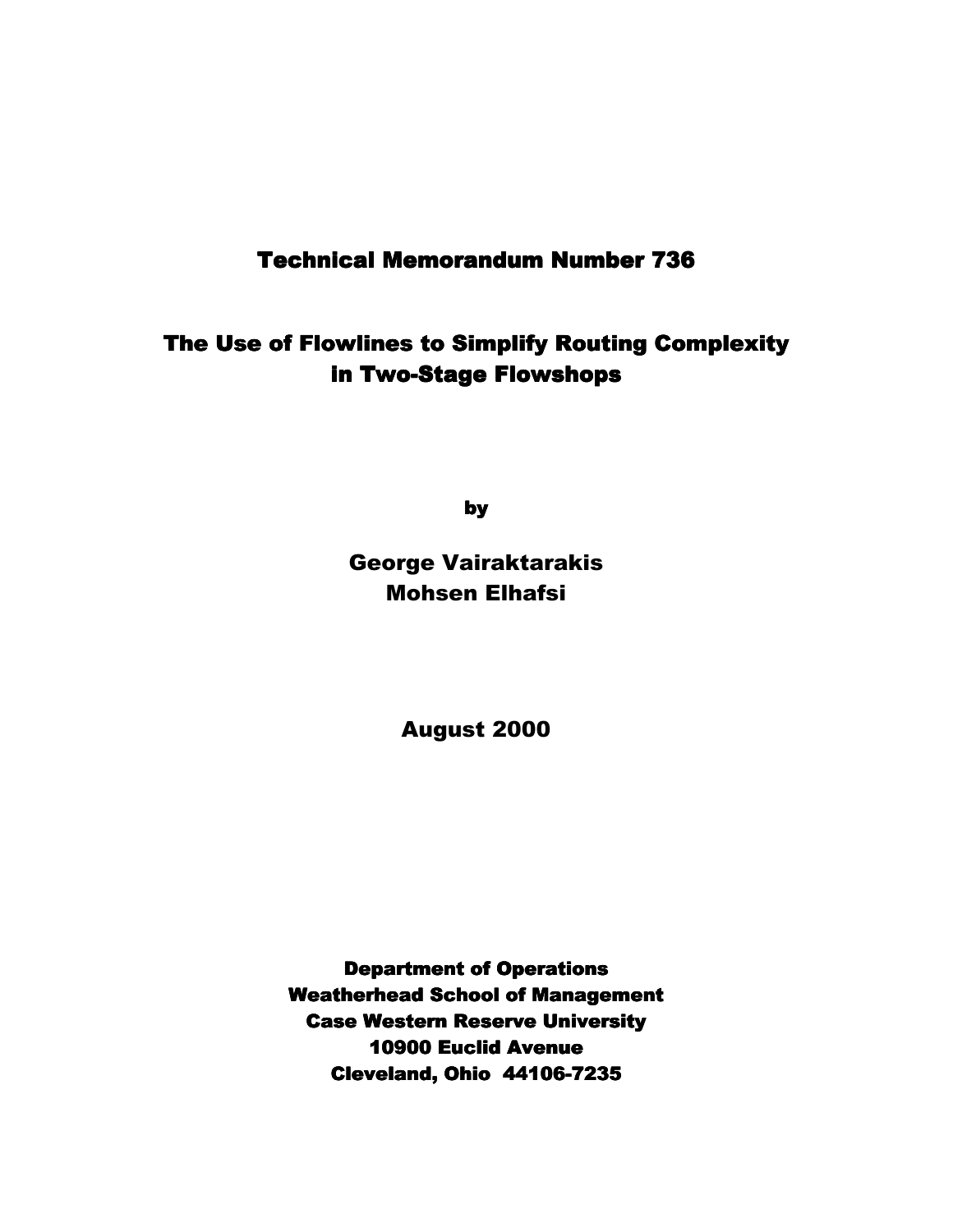# **Technical Memorandum Number 736**

The Use of Flowlines to Simplify Routing Complexity in Two-Stage Flowshops

by

George Vairaktarakis Mohsen Elhafsi

August 2000

**Department of Operations Weatherhead School of Management Case Western Reserve University** 10900 Euclid Avenue Cleveland, Ohio 44106-7235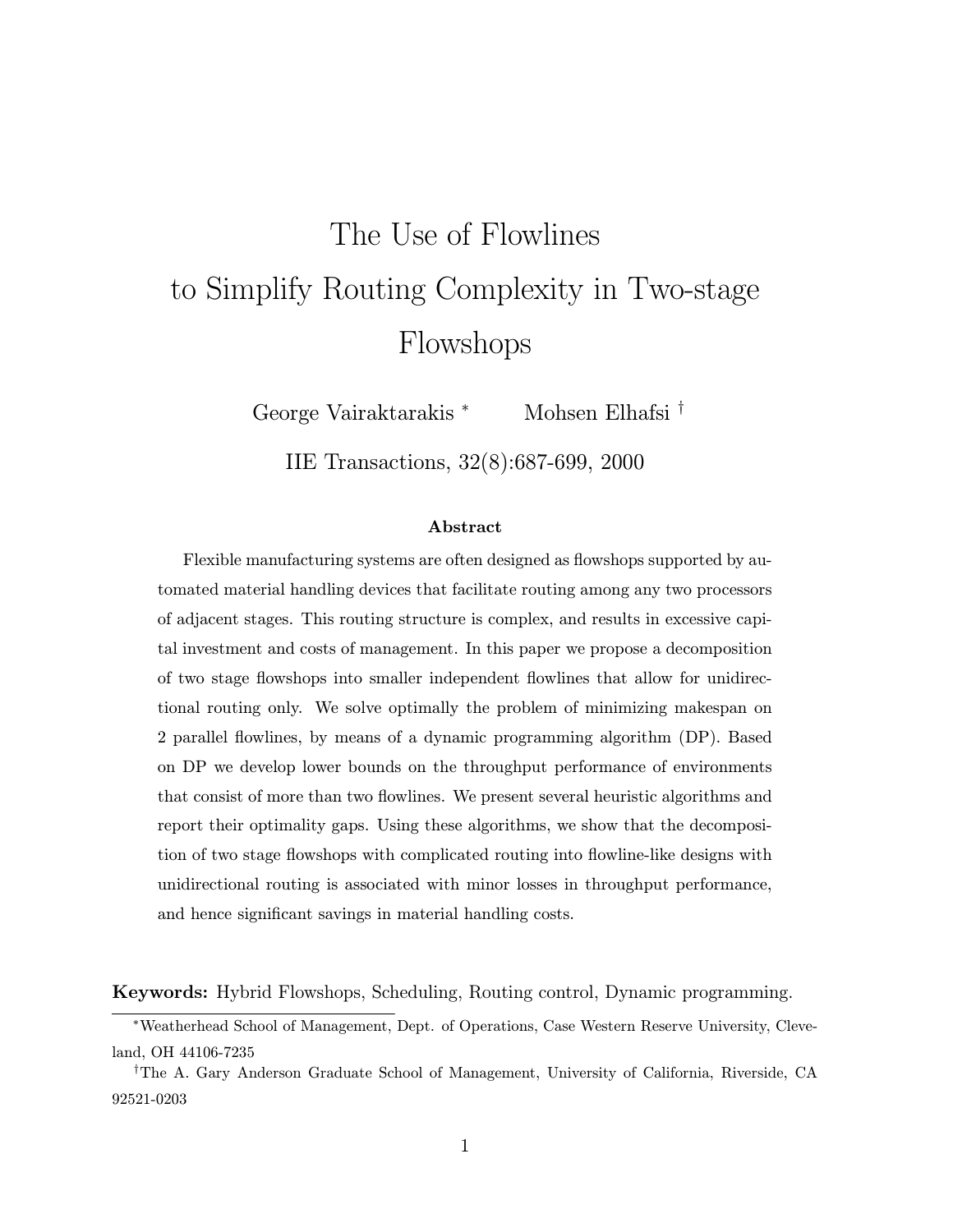# The Use of Flowlines to Simplify Routing Complexity in Two-stage Flowshops

George Vairaktarakis <sup>∗</sup> Mohsen Elhafsi <sup>†</sup>

IIE Transactions, 32(8):687-699, 2000

#### Abstract

Flexible manufacturing systems are often designed as flowshops supported by automated material handling devices that facilitate routing among any two processors of adjacent stages. This routing structure is complex, and results in excessive capital investment and costs of management. In this paper we propose a decomposition of two stage flowshops into smaller independent flowlines that allow for unidirectional routing only. We solve optimally the problem of minimizing makespan on 2 parallel flowlines, by means of a dynamic programming algorithm (DP). Based on DP we develop lower bounds on the throughput performance of environments that consist of more than two flowlines. We present several heuristic algorithms and report their optimality gaps. Using these algorithms, we show that the decomposition of two stage flowshops with complicated routing into flowline-like designs with unidirectional routing is associated with minor losses in throughput performance, and hence significant savings in material handling costs.

Keywords: Hybrid Flowshops, Scheduling, Routing control, Dynamic programming.

<sup>∗</sup>Weatherhead School of Management, Dept. of Operations, Case Western Reserve University, Cleveland, OH 44106-7235

<sup>&</sup>lt;sup>†</sup>The A. Gary Anderson Graduate School of Management, University of California, Riverside, CA 92521-0203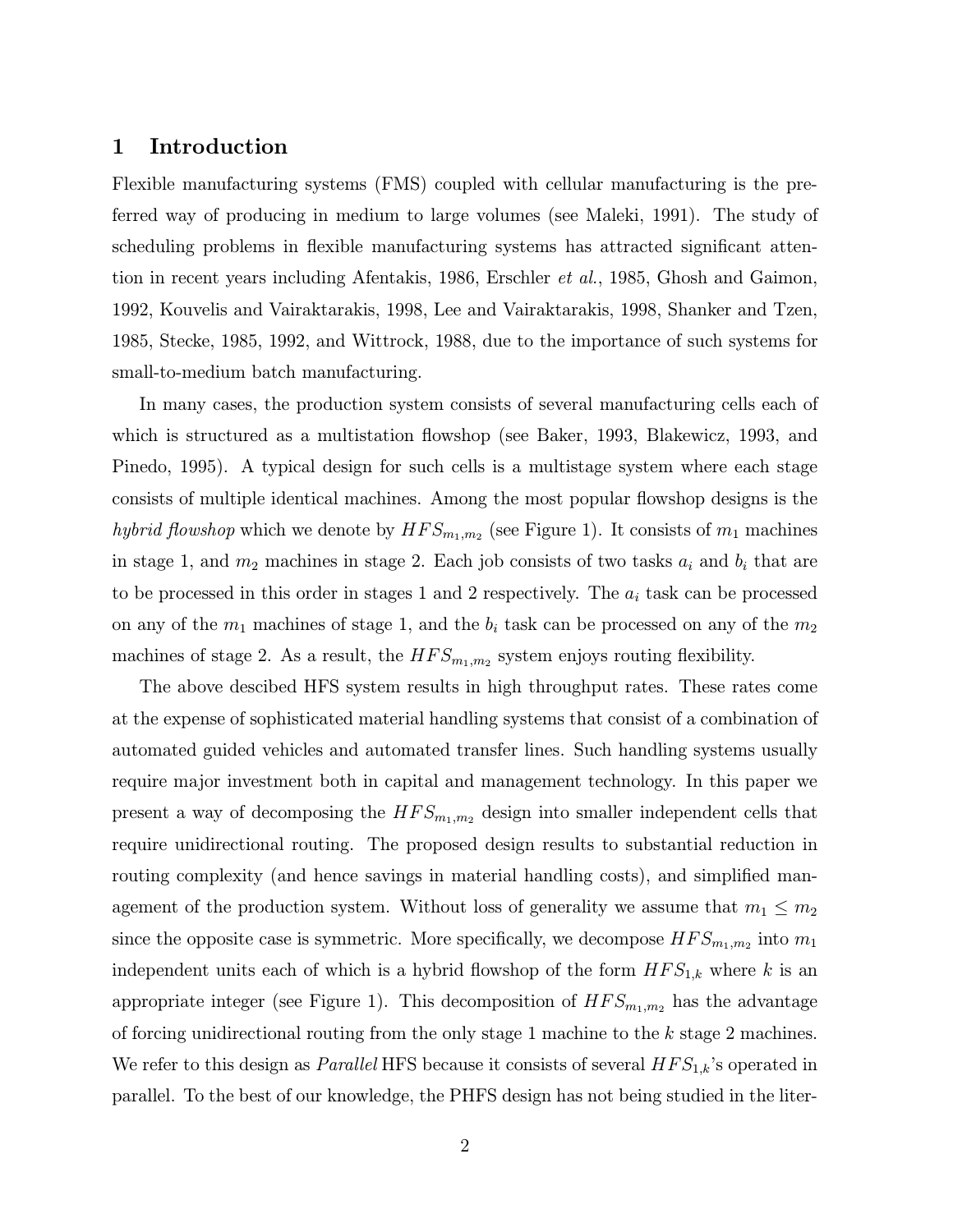# 1 Introduction

Flexible manufacturing systems (FMS) coupled with cellular manufacturing is the preferred way of producing in medium to large volumes (see Maleki, 1991). The study of scheduling problems in flexible manufacturing systems has attracted significant attention in recent years including Afentakis, 1986, Erschler et al., 1985, Ghosh and Gaimon, 1992, Kouvelis and Vairaktarakis, 1998, Lee and Vairaktarakis, 1998, Shanker and Tzen, 1985, Stecke, 1985, 1992, and Wittrock, 1988, due to the importance of such systems for small-to-medium batch manufacturing.

In many cases, the production system consists of several manufacturing cells each of which is structured as a multistation flowshop (see Baker, 1993, Blakewicz, 1993, and Pinedo, 1995). A typical design for such cells is a multistage system where each stage consists of multiple identical machines. Among the most popular flowshop designs is the hybrid flowshop which we denote by  $HFS_{m_1,m_2}$  (see Figure 1). It consists of  $m_1$  machines in stage 1, and  $m_2$  machines in stage 2. Each job consists of two tasks  $a_i$  and  $b_i$  that are to be processed in this order in stages 1 and 2 respectively. The  $a_i$  task can be processed on any of the  $m_1$  machines of stage 1, and the  $b_i$  task can be processed on any of the  $m_2$ machines of stage 2. As a result, the  $HFS_{m_1,m_2}$  system enjoys routing flexibility.

The above descibed HFS system results in high throughput rates. These rates come at the expense of sophisticated material handling systems that consist of a combination of automated guided vehicles and automated transfer lines. Such handling systems usually require major investment both in capital and management technology. In this paper we present a way of decomposing the  $HFS_{m_1,m_2}$  design into smaller independent cells that require unidirectional routing. The proposed design results to substantial reduction in routing complexity (and hence savings in material handling costs), and simplified management of the production system. Without loss of generality we assume that  $m_1 \leq m_2$ since the opposite case is symmetric. More specifically, we decompose  $HFS_{m_1,m_2}$  into  $m_1$ independent units each of which is a hybrid flowshop of the form  $HFS_{1,k}$  where k is an appropriate integer (see Figure 1). This decomposition of  $HFS_{m_1,m_2}$  has the advantage of forcing unidirectional routing from the only stage 1 machine to the k stage 2 machines. We refer to this design as *Parallel* HFS because it consists of several  $HFS_{1,k}$ 's operated in parallel. To the best of our knowledge, the PHFS design has not being studied in the liter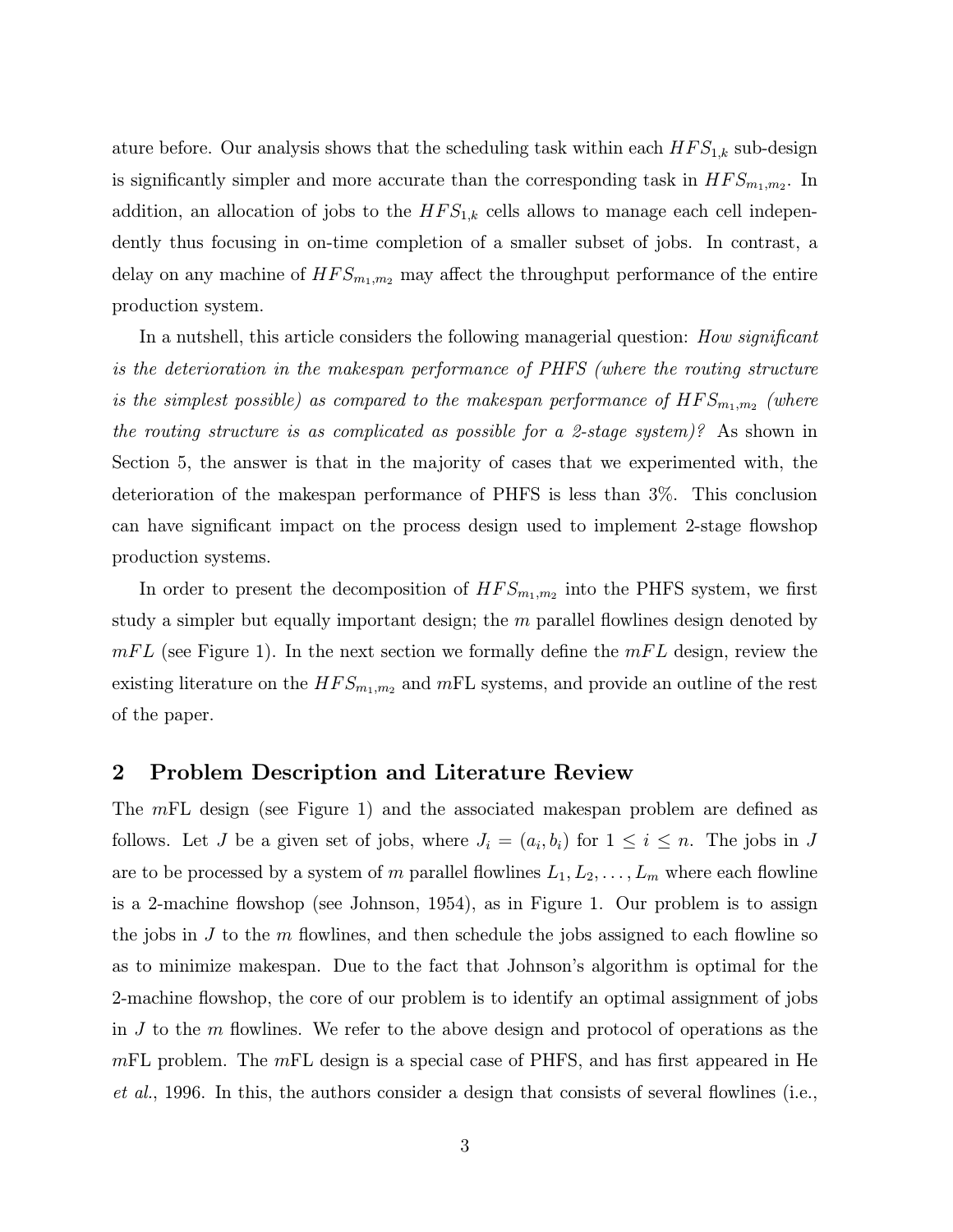ature before. Our analysis shows that the scheduling task within each  $HFS_{1,k}$  sub-design is significantly simpler and more accurate than the corresponding task in  $HFS_{m_1,m_2}$ . In addition, an allocation of jobs to the  $HFS_{1,k}$  cells allows to manage each cell independently thus focusing in on-time completion of a smaller subset of jobs. In contrast, a delay on any machine of  $HFS_{m_1,m_2}$  may affect the throughput performance of the entire production system.

In a nutshell, this article considers the following managerial question: How significant is the deterioration in the makespan performance of PHFS (where the routing structure is the simplest possible) as compared to the makespan performance of  $HFS_{m_1,m_2}$  (where the routing structure is as complicated as possible for a 2-stage system)? As shown in Section 5, the answer is that in the majority of cases that we experimented with, the deterioration of the makespan performance of PHFS is less than 3%. This conclusion can have significant impact on the process design used to implement 2-stage flowshop production systems.

In order to present the decomposition of  $HFS_{m_1,m_2}$  into the PHFS system, we first study a simpler but equally important design; the  $m$  parallel flowlines design denoted by  $mFL$  (see Figure 1). In the next section we formally define the  $mFL$  design, review the existing literature on the  $HFS_{m_1,m_2}$  and  $mFL$  systems, and provide an outline of the rest of the paper.

#### 2 Problem Description and Literature Review

The mFL design (see Figure 1) and the associated makespan problem are defined as follows. Let J be a given set of jobs, where  $J_i = (a_i, b_i)$  for  $1 \leq i \leq n$ . The jobs in J are to be processed by a system of m parallel flowlines  $L_1, L_2, \ldots, L_m$  where each flowline is a 2-machine flowshop (see Johnson, 1954), as in Figure 1. Our problem is to assign the jobs in  $J$  to the  $m$  flowlines, and then schedule the jobs assigned to each flowline so as to minimize makespan. Due to the fact that Johnson's algorithm is optimal for the 2-machine flowshop, the core of our problem is to identify an optimal assignment of jobs in  $J$  to the  $m$  flowlines. We refer to the above design and protocol of operations as the  $mFL$  problem. The  $mFL$  design is a special case of PHFS, and has first appeared in He et al., 1996. In this, the authors consider a design that consists of several flowlines (i.e.,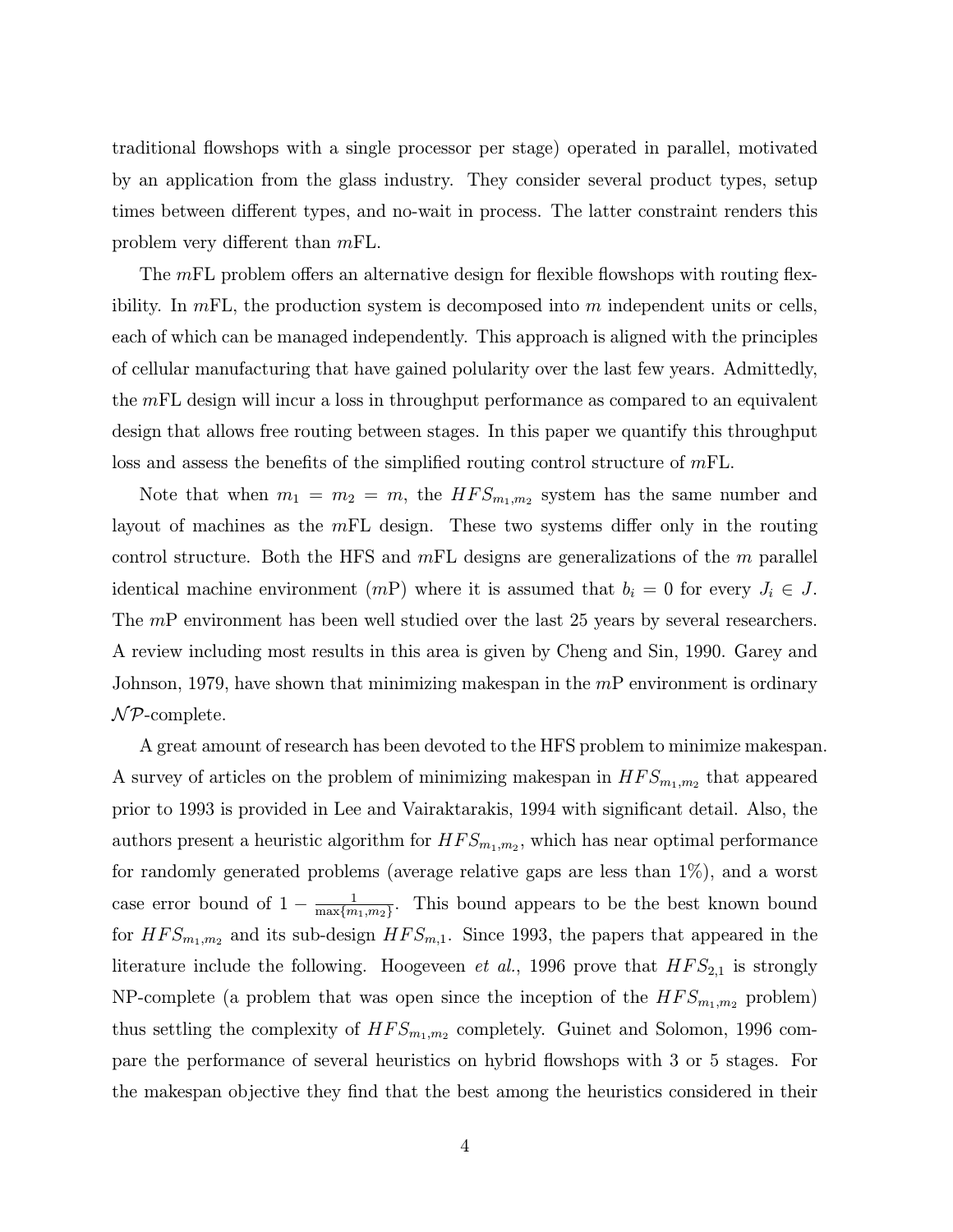traditional flowshops with a single processor per stage) operated in parallel, motivated by an application from the glass industry. They consider several product types, setup times between different types, and no-wait in process. The latter constraint renders this problem very different than mFL.

The mFL problem offers an alternative design for flexible flowshops with routing flexibility. In  $mFL$ , the production system is decomposed into m independent units or cells, each of which can be managed independently. This approach is aligned with the principles of cellular manufacturing that have gained polularity over the last few years. Admittedly, the  $mFL$  design will incur a loss in throughput performance as compared to an equivalent design that allows free routing between stages. In this paper we quantify this throughput loss and assess the benefits of the simplified routing control structure of  $mFL$ .

Note that when  $m_1 = m_2 = m$ , the  $HFS_{m_1,m_2}$  system has the same number and layout of machines as the  $mFL$  design. These two systems differ only in the routing control structure. Both the HFS and  $mFL$  designs are generalizations of the m parallel identical machine environment (mP) where it is assumed that  $b_i = 0$  for every  $J_i \in J$ . The mP environment has been well studied over the last 25 years by several researchers. A review including most results in this area is given by Cheng and Sin, 1990. Garey and Johnson, 1979, have shown that minimizing makespan in the  $mP$  environment is ordinary  $\mathcal{NP}$ -complete.

A great amount of research has been devoted to the HFS problem to minimize makespan. A survey of articles on the problem of minimizing makespan in  $HFS_{m_1,m_2}$  that appeared prior to 1993 is provided in Lee and Vairaktarakis, 1994 with significant detail. Also, the authors present a heuristic algorithm for  $HFS_{m_1,m_2}$ , which has near optimal performance for randomly generated problems (average relative gaps are less than 1%), and a worst case error bound of  $1 - \frac{1}{\max\{m_1, m_2\}}$ . This bound appears to be the best known bound for  $HFS_{m_1,m_2}$  and its sub-design  $HFS_{m,1}$ . Since 1993, the papers that appeared in the literature include the following. Hoogeveen *et al.*, 1996 prove that  $HFS_{2,1}$  is strongly NP-complete (a problem that was open since the inception of the  $HFS_{m_1,m_2}$  problem) thus settling the complexity of  $HFS_{m_1,m_2}$  completely. Guinet and Solomon, 1996 compare the performance of several heuristics on hybrid flowshops with 3 or 5 stages. For the makespan objective they find that the best among the heuristics considered in their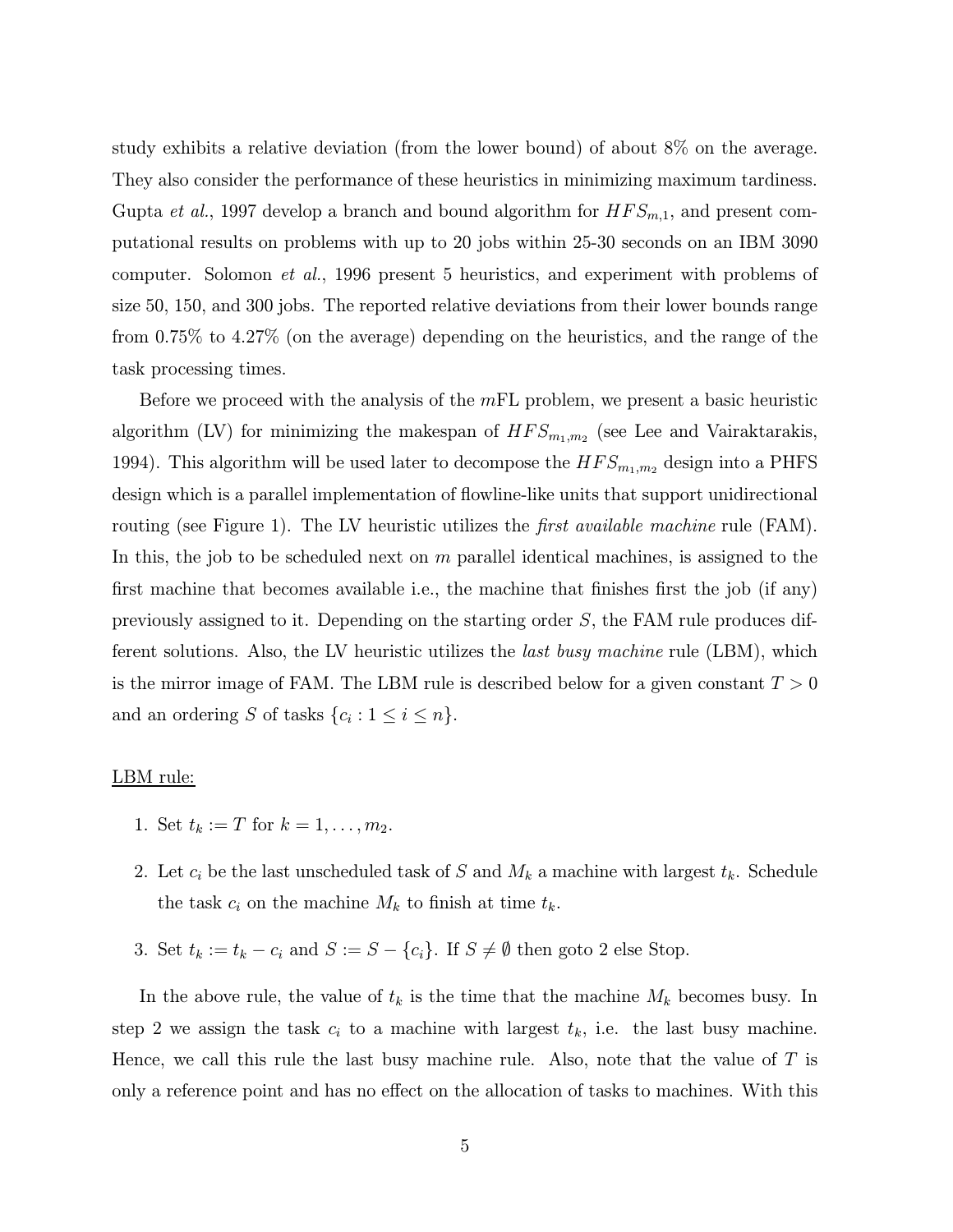study exhibits a relative deviation (from the lower bound) of about 8% on the average. They also consider the performance of these heuristics in minimizing maximum tardiness. Gupta *et al.*, 1997 develop a branch and bound algorithm for  $HFS_{m,1}$ , and present computational results on problems with up to 20 jobs within 25-30 seconds on an IBM 3090 computer. Solomon et al., 1996 present 5 heuristics, and experiment with problems of size 50, 150, and 300 jobs. The reported relative deviations from their lower bounds range from 0.75% to 4.27% (on the average) depending on the heuristics, and the range of the task processing times.

Before we proceed with the analysis of the  $mFL$  problem, we present a basic heuristic algorithm (LV) for minimizing the makespan of  $HFS_{m_1,m_2}$  (see Lee and Vairaktarakis, 1994). This algorithm will be used later to decompose the  $HFS_{m_1,m_2}$  design into a PHFS design which is a parallel implementation of flowline-like units that support unidirectional routing (see Figure 1). The LV heuristic utilizes the *first available machine* rule (FAM). In this, the job to be scheduled next on  $m$  parallel identical machines, is assigned to the first machine that becomes available i.e., the machine that finishes first the job (if any) previously assigned to it. Depending on the starting order S, the FAM rule produces different solutions. Also, the LV heuristic utilizes the last busy machine rule (LBM), which is the mirror image of FAM. The LBM rule is described below for a given constant  $T > 0$ and an ordering S of tasks  $\{c_i : 1 \leq i \leq n\}.$ 

#### LBM rule:

- 1. Set  $t_k := T$  for  $k = 1, ..., m_2$ .
- 2. Let  $c_i$  be the last unscheduled task of S and  $M_k$  a machine with largest  $t_k$ . Schedule the task  $c_i$  on the machine  $M_k$  to finish at time  $t_k$ .
- 3. Set  $t_k := t_k c_i$  and  $S := S \{c_i\}$ . If  $S \neq \emptyset$  then goto 2 else Stop.

In the above rule, the value of  $t_k$  is the time that the machine  $M_k$  becomes busy. In step 2 we assign the task  $c_i$  to a machine with largest  $t_k$ , i.e. the last busy machine. Hence, we call this rule the last busy machine rule. Also, note that the value of  $T$  is only a reference point and has no effect on the allocation of tasks to machines. With this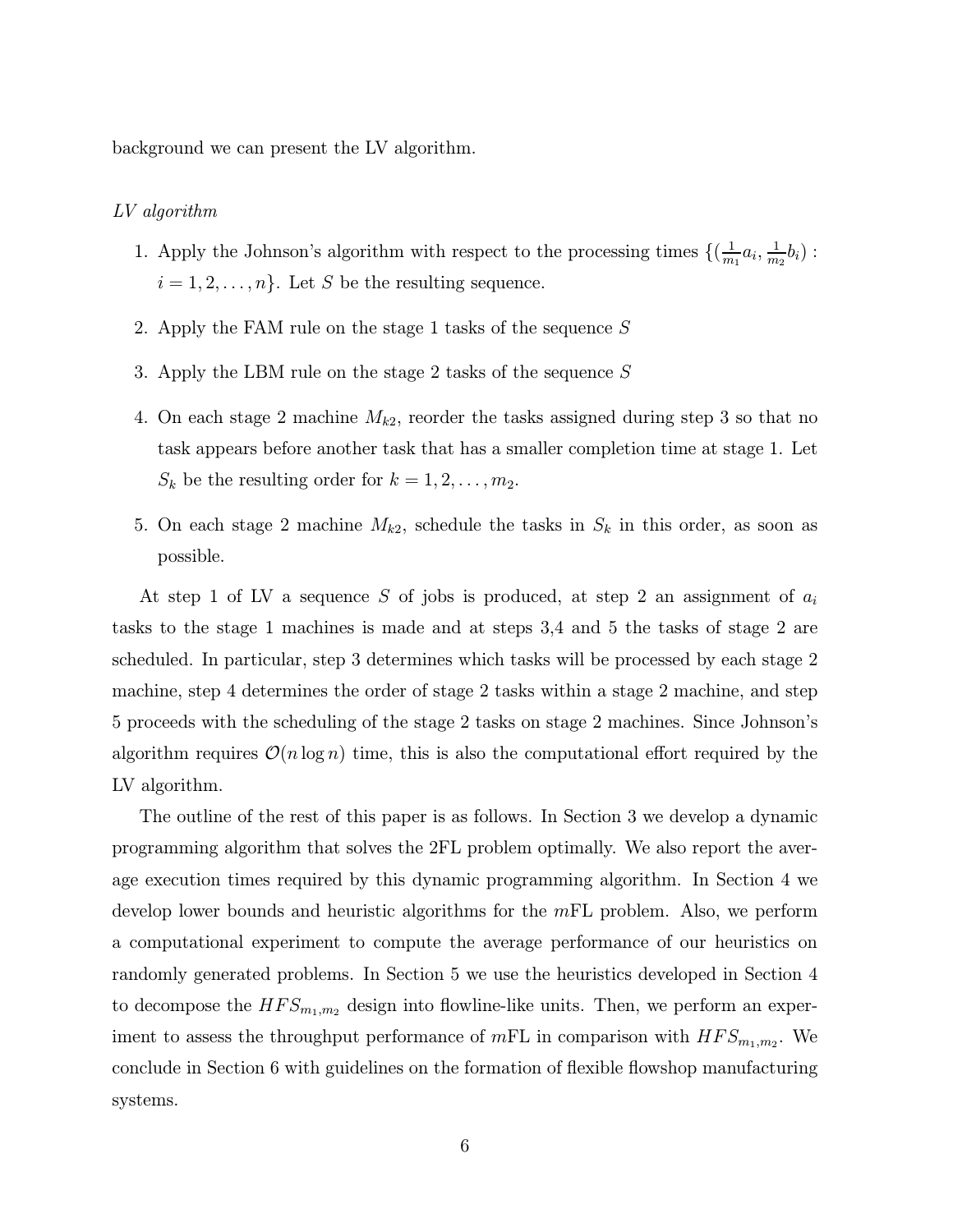background we can present the LV algorithm.

#### LV algorithm

- 1. Apply the Johnson's algorithm with respect to the processing times  $\{(\frac{1}{m_1}a_i, \frac{1}{m_2}b_i):$  $i = 1, 2, \ldots, n$ . Let S be the resulting sequence.
- 2. Apply the FAM rule on the stage 1 tasks of the sequence  $S$
- 3. Apply the LBM rule on the stage 2 tasks of the sequence S
- 4. On each stage 2 machine  $M_{k2}$ , reorder the tasks assigned during step 3 so that no task appears before another task that has a smaller completion time at stage 1. Let  $S_k$  be the resulting order for  $k = 1, 2, \ldots, m_2$ .
- 5. On each stage 2 machine  $M_{k2}$ , schedule the tasks in  $S_k$  in this order, as soon as possible.

At step 1 of LV a sequence S of jobs is produced, at step 2 an assignment of  $a_i$ tasks to the stage 1 machines is made and at steps 3,4 and 5 the tasks of stage 2 are scheduled. In particular, step 3 determines which tasks will be processed by each stage 2 machine, step 4 determines the order of stage 2 tasks within a stage 2 machine, and step 5 proceeds with the scheduling of the stage 2 tasks on stage 2 machines. Since Johnsonís algorithm requires  $\mathcal{O}(n \log n)$  time, this is also the computational effort required by the LV algorithm.

The outline of the rest of this paper is as follows. In Section 3 we develop a dynamic programming algorithm that solves the 2FL problem optimally. We also report the average execution times required by this dynamic programming algorithm. In Section 4 we develop lower bounds and heuristic algorithms for the  $mFL$  problem. Also, we perform a computational experiment to compute the average performance of our heuristics on randomly generated problems. In Section 5 we use the heuristics developed in Section 4 to decompose the  $HFS_{m_1,m_2}$  design into flowline-like units. Then, we perform an experiment to assess the throughput performance of  $mFL$  in comparison with  $HFS_{m_1,m_2}$ . We conclude in Section 6 with guidelines on the formation of flexible flowshop manufacturing systems.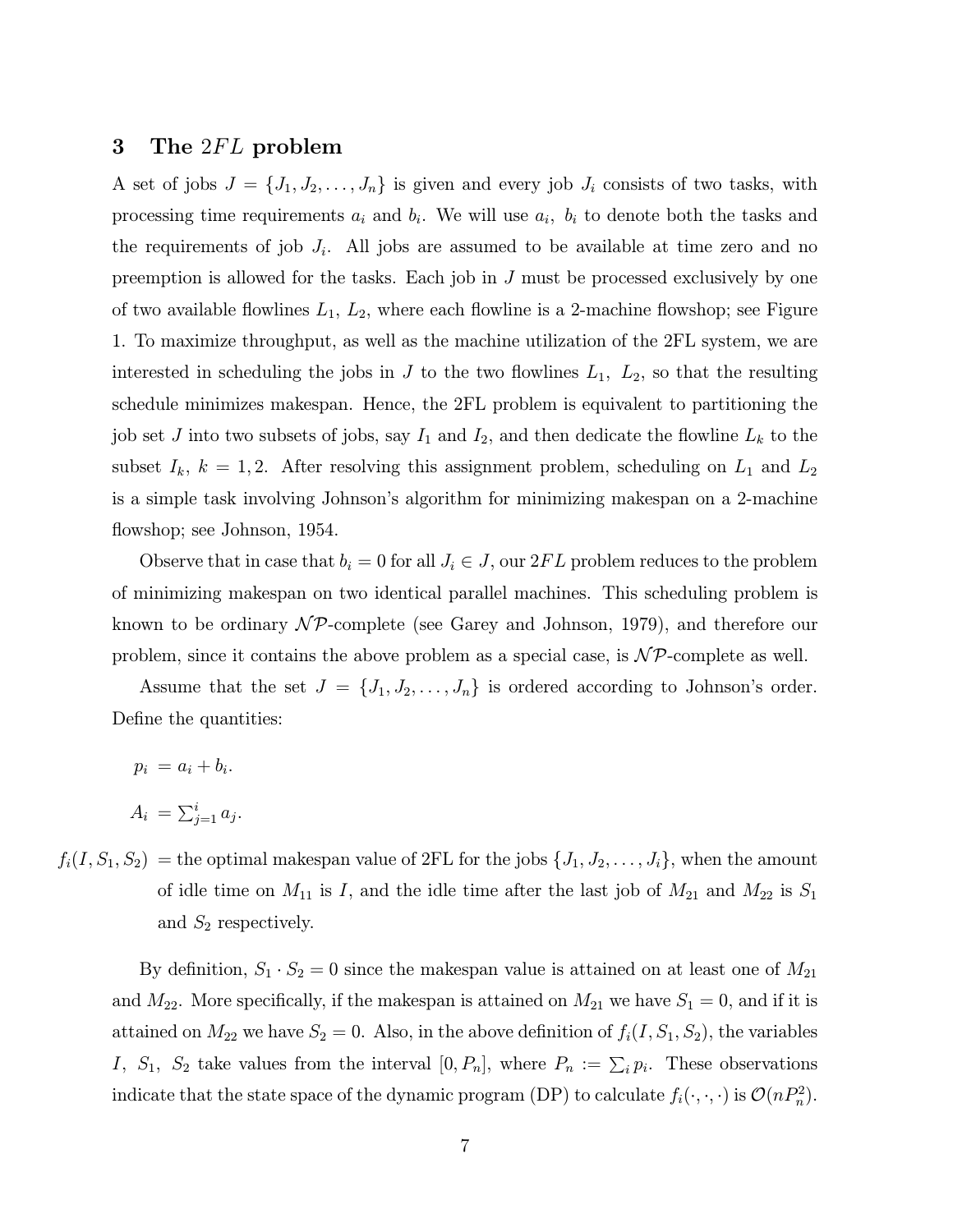# 3 The 2FL problem

A set of jobs  $J = \{J_1, J_2, \ldots, J_n\}$  is given and every job  $J_i$  consists of two tasks, with processing time requirements  $a_i$  and  $b_i$ . We will use  $a_i$ ,  $b_i$  to denote both the tasks and the requirements of job  $J_i$ . All jobs are assumed to be available at time zero and no preemption is allowed for the tasks. Each job in  $J$  must be processed exclusively by one of two available flowlines  $L_1, L_2$ , where each flowline is a 2-machine flowshop; see Figure 1. To maximize throughput, as well as the machine utilization of the 2FL system, we are interested in scheduling the jobs in J to the two flowlines  $L_1$ ,  $L_2$ , so that the resulting schedule minimizes makespan. Hence, the 2FL problem is equivalent to partitioning the job set J into two subsets of jobs, say  $I_1$  and  $I_2$ , and then dedicate the flowline  $L_k$  to the subset  $I_k$ ,  $k = 1, 2$ . After resolving this assignment problem, scheduling on  $L_1$  and  $L_2$ is a simple task involving Johnson's algorithm for minimizing makespan on a 2-machine flowshop; see Johnson, 1954.

Observe that in case that  $b_i = 0$  for all  $J_i \in J$ , our  $2FL$  problem reduces to the problem of minimizing makespan on two identical parallel machines. This scheduling problem is known to be ordinary  $\mathcal{NP}$ -complete (see Garey and Johnson, 1979), and therefore our problem, since it contains the above problem as a special case, is  $\mathcal{NP}$ -complete as well.

Assume that the set  $J = \{J_1, J_2, \ldots, J_n\}$  is ordered according to Johnson's order. Define the quantities:

 $p_i = a_i + b_i.$  $A_i = \sum_{j=1}^i a_j.$ 

 $f_i(I, S_1, S_2)$  = the optimal makespan value of 2FL for the jobs  $\{J_1, J_2, \ldots, J_i\}$ , when the amount of idle time on  $M_{11}$  is I, and the idle time after the last job of  $M_{21}$  and  $M_{22}$  is  $S_1$ and  $S_2$  respectively.

By definition,  $S_1 \cdot S_2 = 0$  since the makespan value is attained on at least one of  $M_{21}$ and  $M_{22}$ . More specifically, if the makespan is attained on  $M_{21}$  we have  $S_1 = 0$ , and if it is attained on  $M_{22}$  we have  $S_2 = 0$ . Also, in the above definition of  $f_i(I, S_1, S_2)$ , the variables I,  $S_1$ ,  $S_2$  take values from the interval  $[0, P_n]$ , where  $P_n := \sum_i p_i$ . These observations indicate that the state space of the dynamic program (DP) to calculate  $f_i(\cdot,\cdot,\cdot)$  is  $\mathcal{O}(nP_n^2)$ .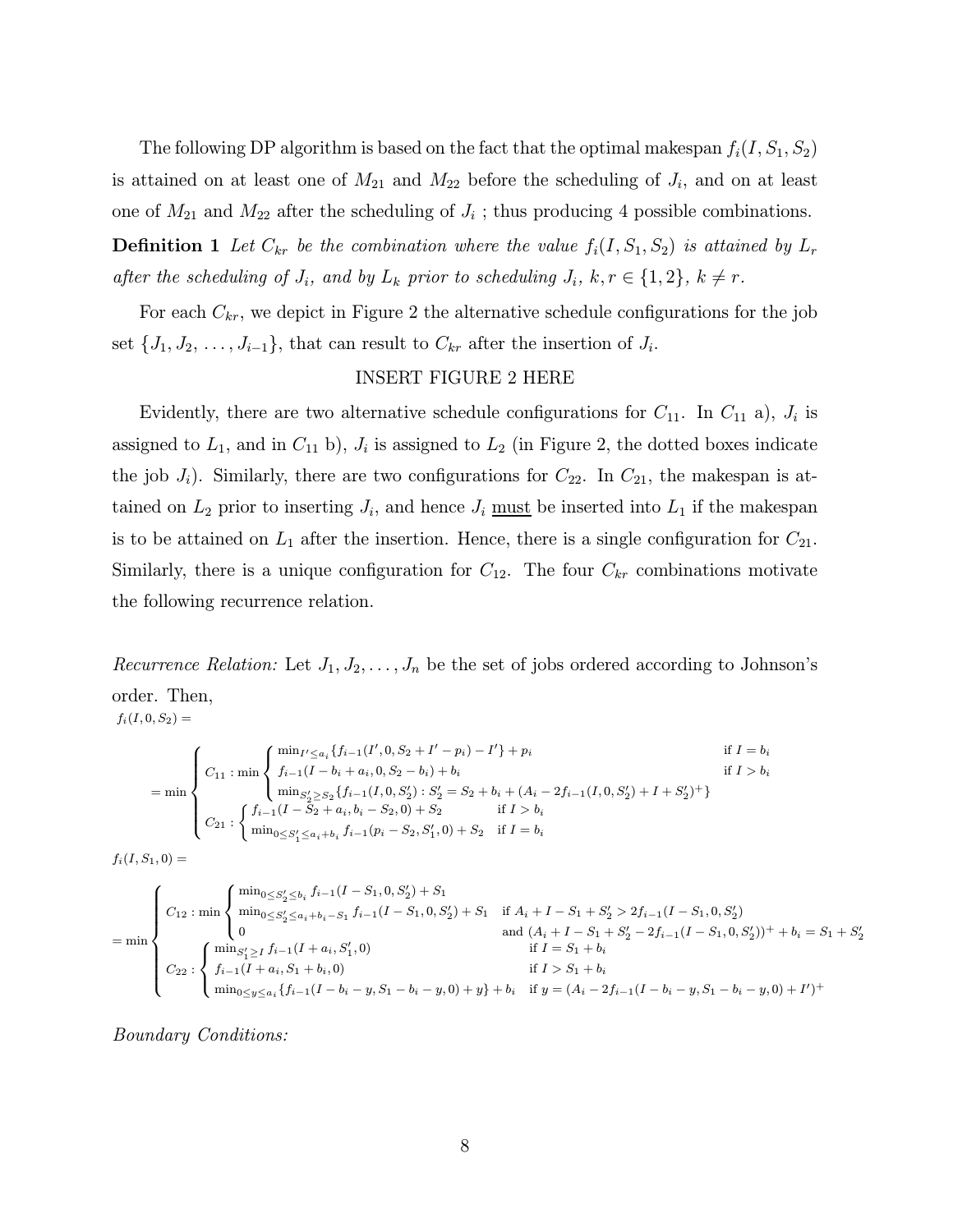The following DP algorithm is based on the fact that the optimal makespan  $f_i(I, S_1, S_2)$ is attained on at least one of  $M_{21}$  and  $M_{22}$  before the scheduling of  $J_i$ , and on at least one of  $M_{21}$  and  $M_{22}$  after the scheduling of  $J_i$ ; thus producing 4 possible combinations.

**Definition 1** Let  $C_{kr}$  be the combination where the value  $f_i(I, S_1, S_2)$  is attained by  $L_r$ after the scheduling of  $J_i$ , and by  $L_k$  prior to scheduling  $J_i$ ,  $k, r \in \{1,2\}$ ,  $k \neq r$ .

For each  $C_{kr}$ , we depict in Figure 2 the alternative schedule configurations for the job set  $\{J_1, J_2, \ldots, J_{i-1}\}$ , that can result to  $C_{kr}$  after the insertion of  $J_i$ .

#### INSERT FIGURE 2 HERE

Evidently, there are two alternative schedule configurations for  $C_{11}$ . In  $C_{11}$  a),  $J_i$  is assigned to  $L_1$ , and in  $C_{11}$  b),  $J_i$  is assigned to  $L_2$  (in Figure 2, the dotted boxes indicate the job  $J_i$ ). Similarly, there are two configurations for  $C_{22}$ . In  $C_{21}$ , the makespan is attained on  $L_2$  prior to inserting  $J_i$ , and hence  $J_i$  must be inserted into  $L_1$  if the makespan is to be attained on  $L_1$  after the insertion. Hence, there is a single configuration for  $C_{21}$ . Similarly, there is a unique configuration for  $C_{12}$ . The four  $C_{kr}$  combinations motivate the following recurrence relation.

Recurrence Relation: Let  $J_1, J_2, \ldots, J_n$  be the set of jobs ordered according to Johnson's order. Then,  $f_i(I, 0, S_2) =$ 

$$
= \min \left\{\n\begin{array}{ll}\nC_{11} : \min \left\{\n\begin{array}{l}\n\min_{I' \leq a_i} \{f_{i-1}(I', 0, S_2 + I' - p_i) - I'\} + p_i & \text{if } I = b_i \\
f_{i-1}(I - b_i + a_i, 0, S_2 - b_i) + b_i & \text{if } I > b_i \\
\min_{S'_2 \geq S_2} \{f_{i-1}(I, 0, S'_2) : S'_2 = S_2 + b_i + (A_i - 2f_{i-1}(I, 0, S'_2) + I + S'_2)^+\} \\
C_{21} : \left\{\n\begin{array}{l}\n f_{i-1}(I - S_2 + a_i, b_i - S_2, 0) + S_2 & \text{if } I > b_i \\
\min_{0 \leq S'_1 \leq a_i + b_i} f_{i-1}(p_i - S_2, S'_1, 0) + S_2 & \text{if } I = b_i\n\end{array}\n\right.\n\end{array}\n\right.
$$

$$
f_i(I,S_1,0)=\!\!\!
$$

$$
= \min \left\{\n\begin{array}{l}\nC_{12} : \min \left\{\n\begin{array}{l}\n\min_{0 \leq S_2' \leq b_i} f_{i-1}(I - S_1, 0, S_2') + S_1 \\
\min_{0 \leq S_2' \leq a_i + b_i - S_1} f_{i-1}(I - S_1, 0, S_2') + S_1 & \text{if } A_i + I - S_1 + S_2' > 2f_{i-1}(I - S_1, 0, S_2') \\
0 & \text{and } (A_i + I - S_1 + S_2' - 2f_{i-1}(I - S_1, 0, S_2'))^+ + b_i = S_1 + S_2' \\
\text{if } I = S_1 + b_i \\
C_{22} : \left\{\n\begin{array}{l}\n\min_{S_1' \geq I} f_{i-1}(I + a_i, S_1', 0) & \text{if } I > S_1 + b_i \\
f_{i-1}(I + a_i, S_1 + b_i, 0) & \text{if } I > S_1 + b_i \\
\min_{0 \leq y \leq a_i} \{f_{i-1}(I - b_i - y, S_1 - b_i - y, 0) + y\} + b_i & \text{if } y = (A_i - 2f_{i-1}(I - b_i - y, S_1 - b_i - y, 0) + I') + \n\end{array}\n\end{array}\n\right.
$$

Boundary Conditions: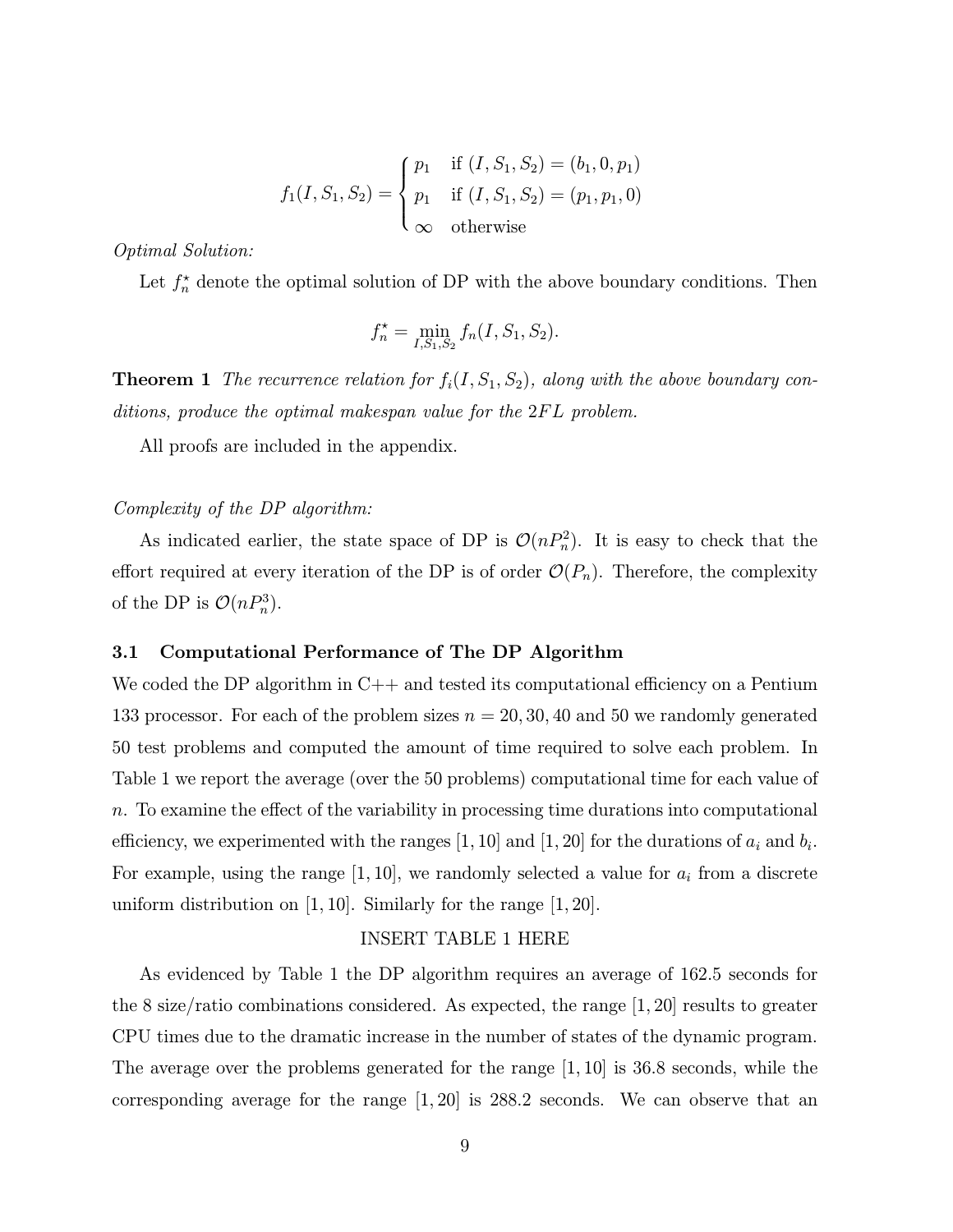$$
f_1(I, S_1, S_2) = \begin{cases} p_1 & \text{if } (I, S_1, S_2) = (b_1, 0, p_1) \\ p_1 & \text{if } (I, S_1, S_2) = (p_1, p_1, 0) \\ \infty & \text{otherwise} \end{cases}
$$

Optimal Solution:

Let  $f_n^*$  denote the optimal solution of DP with the above boundary conditions. Then

$$
f_n^* = \min_{I, S_1, S_2} f_n(I, S_1, S_2).
$$

**Theorem 1** The recurrence relation for  $f_i(I, S_1, S_2)$ , along with the above boundary conditions, produce the optimal makespan value for the 2FL problem.

All proofs are included in the appendix.

#### Complexity of the DP algorithm:

As indicated earlier, the state space of DP is  $\mathcal{O}(nP_n^2)$ . It is easy to check that the effort required at every iteration of the DP is of order  $\mathcal{O}(P_n)$ . Therefore, the complexity of the DP is  $\mathcal{O}(nP_n^3)$ .

#### 3.1 Computational Performance of The DP Algorithm

We coded the DP algorithm in  $C++$  and tested its computational efficiency on a Pentium 133 processor. For each of the problem sizes  $n = 20, 30, 40$  and 50 we randomly generated 50 test problems and computed the amount of time required to solve each problem. In Table 1 we report the average (over the 50 problems) computational time for each value of n. To examine the effect of the variability in processing time durations into computational efficiency, we experimented with the ranges [1, 10] and [1, 20] for the durations of  $a_i$  and  $b_i$ . For example, using the range  $[1, 10]$ , we randomly selected a value for  $a_i$  from a discrete uniform distribution on  $[1, 10]$ . Similarly for the range  $[1, 20]$ .

#### INSERT TABLE 1 HERE

As evidenced by Table 1 the DP algorithm requires an average of 162.5 seconds for the 8 size/ratio combinations considered. As expected, the range  $|1, 20|$  results to greater CPU times due to the dramatic increase in the number of states of the dynamic program. The average over the problems generated for the range [1, 10] is 36.8 seconds, while the corresponding average for the range  $[1, 20]$  is 288.2 seconds. We can observe that an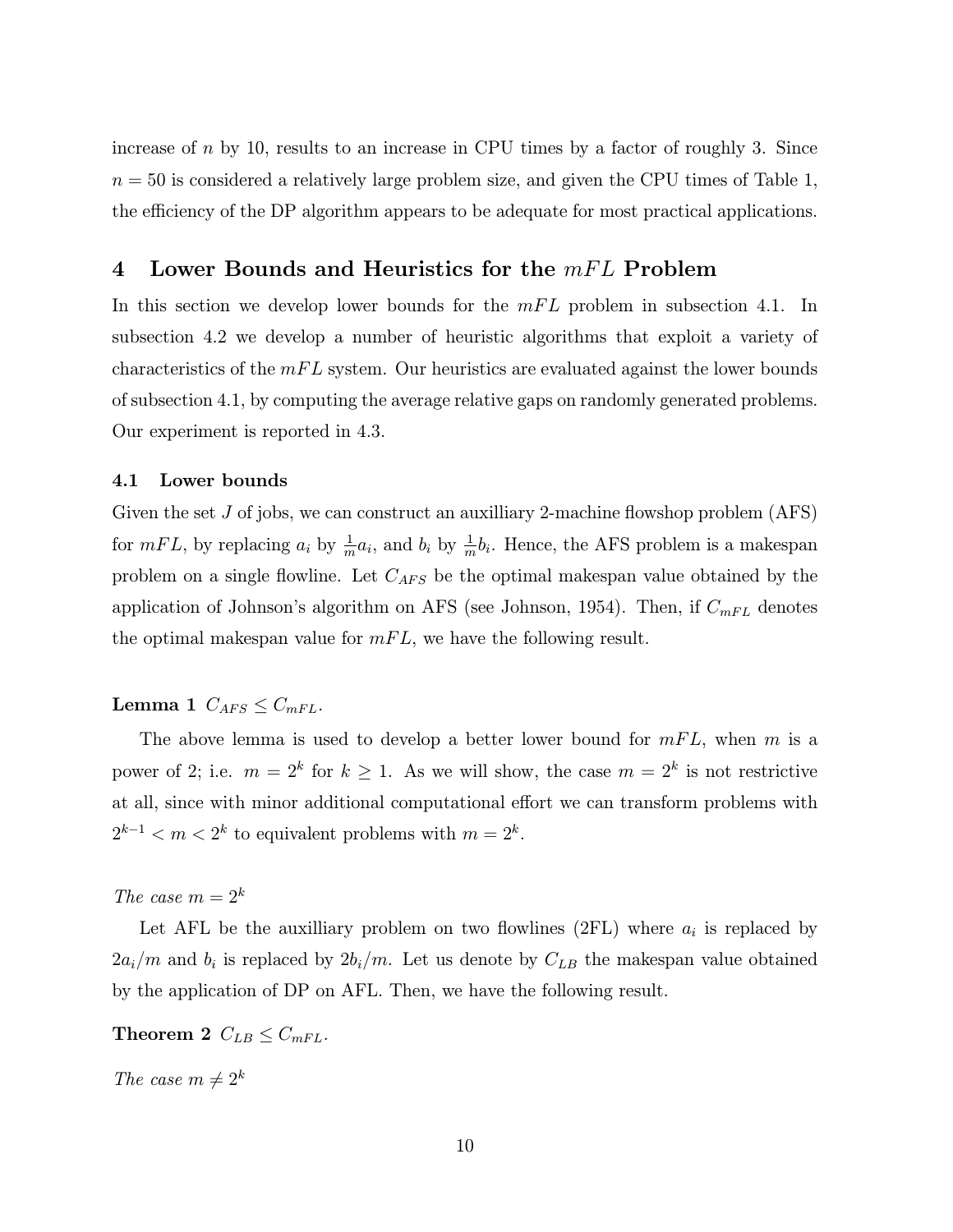increase of  $n$  by 10, results to an increase in CPU times by a factor of roughly 3. Since  $n = 50$  is considered a relatively large problem size, and given the CPU times of Table 1, the efficiency of the DP algorithm appears to be adequate for most practical applications.

# 4 Lower Bounds and Heuristics for the  $mFL$  Problem

In this section we develop lower bounds for the  $mFL$  problem in subsection 4.1. In subsection 4.2 we develop a number of heuristic algorithms that exploit a variety of characteristics of the  $mFL$  system. Our heuristics are evaluated against the lower bounds of subsection 4.1, by computing the average relative gaps on randomly generated problems. Our experiment is reported in 4.3.

#### 4.1 Lower bounds

Given the set  $J$  of jobs, we can construct an auxilliary 2-machine flowshop problem  $(ATS)$ for  $mFL$ , by replacing  $a_i$  by  $\frac{1}{m}a_i$ , and  $b_i$  by  $\frac{1}{m}b_i$ . Hence, the AFS problem is a makespan problem on a single flowline. Let  $C_{AFS}$  be the optimal makespan value obtained by the application of Johnson's algorithm on AFS (see Johnson, 1954). Then, if  $C_{mFL}$  denotes the optimal makespan value for  $mFL$ , we have the following result.

# Lemma 1  $C_{AFS} \leq C_{mFL}$ .

The above lemma is used to develop a better lower bound for  $mFL$ , when m is a power of 2; i.e.  $m = 2^k$  for  $k \ge 1$ . As we will show, the case  $m = 2^k$  is not restrictive at all, since with minor additional computational effort we can transform problems with  $2^{k-1} < m < 2^k$  to equivalent problems with  $m = 2^k$ .

The case  $m = 2^k$ 

Let AFL be the auxilliary problem on two flowlines (2FL) where  $a_i$  is replaced by  $2a_i/m$  and  $b_i$  is replaced by  $2b_i/m$ . Let us denote by  $C_{LB}$  the makespan value obtained by the application of DP on AFL. Then, we have the following result.

Theorem 2  $C_{LB} \leq C_{mFL}$ .

The case  $m \neq 2^k$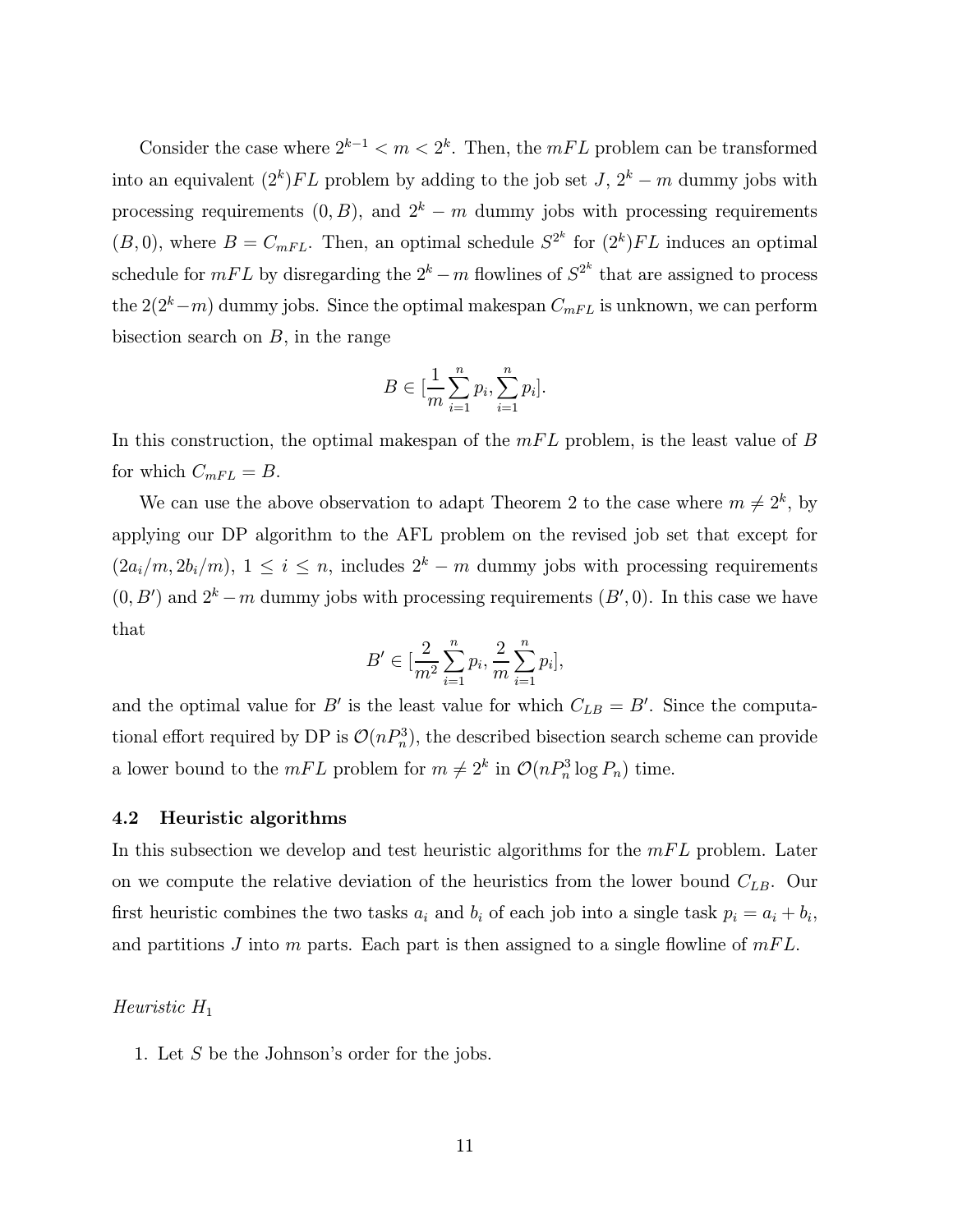Consider the case where  $2^{k-1} < m < 2^k$ . Then, the mFL problem can be transformed into an equivalent  $(2<sup>k</sup>)FL$  problem by adding to the job set  $J, 2<sup>k</sup> - m$  dummy jobs with processing requirements  $(0, B)$ , and  $2<sup>k</sup> - m$  dummy jobs with processing requirements  $(B, 0)$ , where  $B = C_{mFL}$ . Then, an optimal schedule  $S^{2^k}$  for  $(2^k)FL$  induces an optimal schedule for  $mFL$  by disregarding the  $2^k - m$  flowlines of  $S^{2^k}$  that are assigned to process the  $2(2<sup>k</sup> – m)$  dummy jobs. Since the optimal makespan  $C<sub>mFL</sub>$  is unknown, we can perform bisection search on  $B$ , in the range

$$
B \in [\frac{1}{m} \sum_{i=1}^{n} p_i, \sum_{i=1}^{n} p_i].
$$

In this construction, the optimal makespan of the  $mFL$  problem, is the least value of B for which  $C_{mFL} = B$ .

We can use the above observation to adapt Theorem 2 to the case where  $m \neq 2^k$ , by applying our DP algorithm to the AFL problem on the revised job set that except for  $(2a_i/m, 2b_i/m), 1 \le i \le n$ , includes  $2^k - m$  dummy jobs with processing requirements  $(0, B')$  and  $2^k - m$  dummy jobs with processing requirements  $(B', 0)$ . In this case we have that

$$
B' \in [\frac{2}{m^2} \sum_{i=1}^n p_i, \frac{2}{m} \sum_{i=1}^n p_i],
$$

and the optimal value for B' is the least value for which  $C_{LB} = B'$ . Since the computational effort required by DP is  $\mathcal{O}(nP_n^3)$ , the described bisection search scheme can provide a lower bound to the  $mFL$  problem for  $m \neq 2^k$  in  $\mathcal{O}(nP_n^3 \log P_n)$  time.

#### 4.2 Heuristic algorithms

In this subsection we develop and test heuristic algorithms for the  $mFL$  problem. Later on we compute the relative deviation of the heuristics from the lower bound  $C_{LB}$ . Our first heuristic combines the two tasks  $a_i$  and  $b_i$  of each job into a single task  $p_i = a_i + b_i$ , and partitions J into m parts. Each part is then assigned to a single flowline of  $mFL$ .

#### Heuristic  $H_1$

1. Let  $S$  be the Johnson's order for the jobs.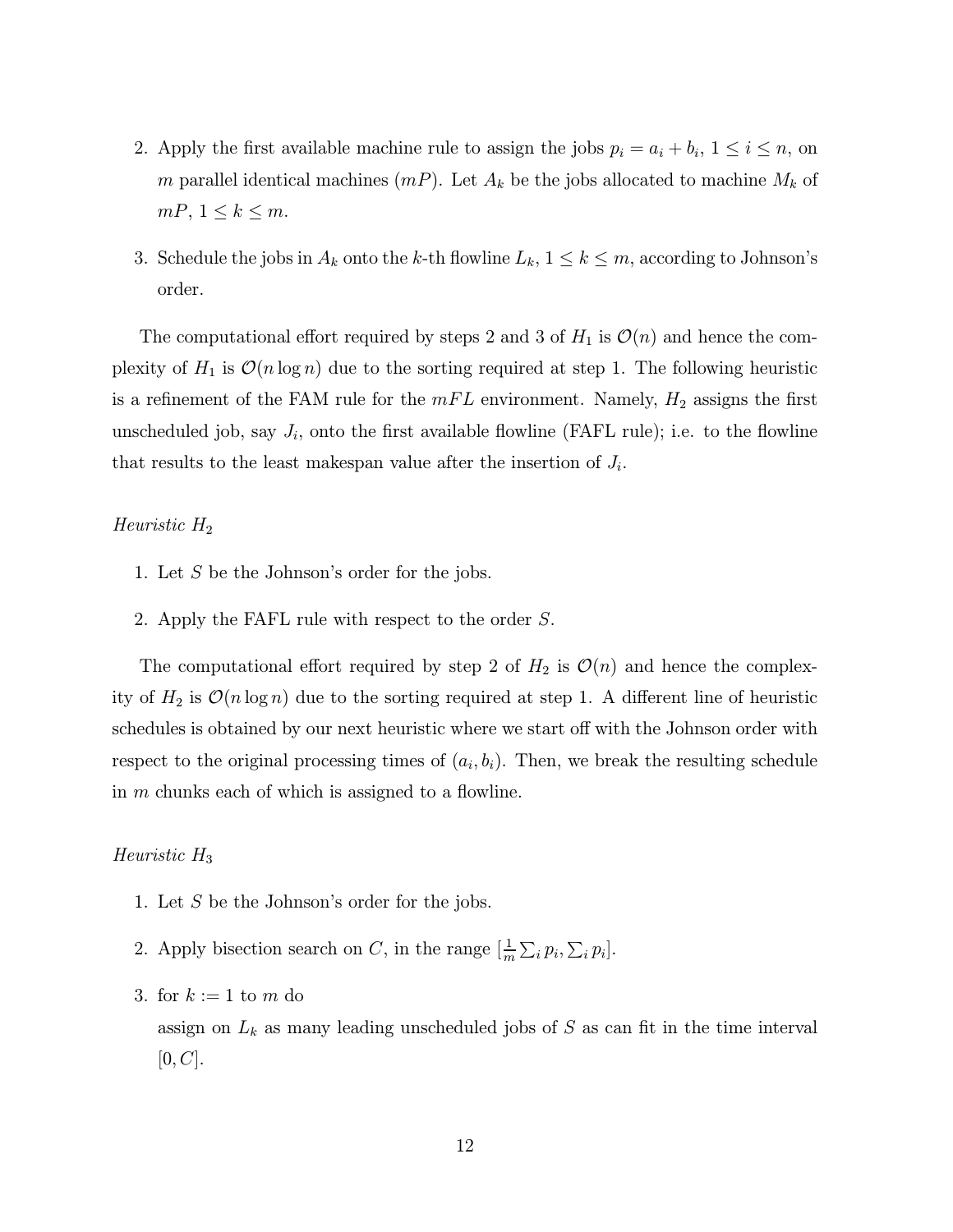- 2. Apply the first available machine rule to assign the jobs  $p_i = a_i + b_i$ ,  $1 \le i \le n$ , on m parallel identical machines  $(mP)$ . Let  $A_k$  be the jobs allocated to machine  $M_k$  of  $mP, 1 \leq k \leq m.$
- 3. Schedule the jobs in  $A_k$  onto the k-th flowline  $L_k$ ,  $1 \leq k \leq m$ , according to Johnson's order.

The computational effort required by steps 2 and 3 of  $H_1$  is  $\mathcal{O}(n)$  and hence the complexity of  $H_1$  is  $\mathcal{O}(n \log n)$  due to the sorting required at step 1. The following heuristic is a refinement of the FAM rule for the  $mFL$  environment. Namely,  $H_2$  assigns the first unscheduled job, say  $J_i$ , onto the first available flowline (FAFL rule); i.e. to the flowline that results to the least makespan value after the insertion of  $J_i$ .

#### Heuristic  $H_2$

- 1. Let  $S$  be the Johnson's order for the jobs.
- 2. Apply the FAFL rule with respect to the order S.

The computational effort required by step 2 of  $H_2$  is  $\mathcal{O}(n)$  and hence the complexity of  $H_2$  is  $\mathcal{O}(n \log n)$  due to the sorting required at step 1. A different line of heuristic schedules is obtained by our next heuristic where we start off with the Johnson order with respect to the original processing times of  $(a_i, b_i)$ . Then, we break the resulting schedule in  $m$  chunks each of which is assigned to a flowline.

#### Heuristic  $H_3$

- 1. Let  $S$  be the Johnson's order for the jobs.
- 2. Apply bisection search on C, in the range  $\left[\frac{1}{m}\sum_i p_i, \sum_i p_i\right]$ .
- 3. for  $k := 1$  to  $m$  do

assign on  $L_k$  as many leading unscheduled jobs of S as can fit in the time interval  $[0, C].$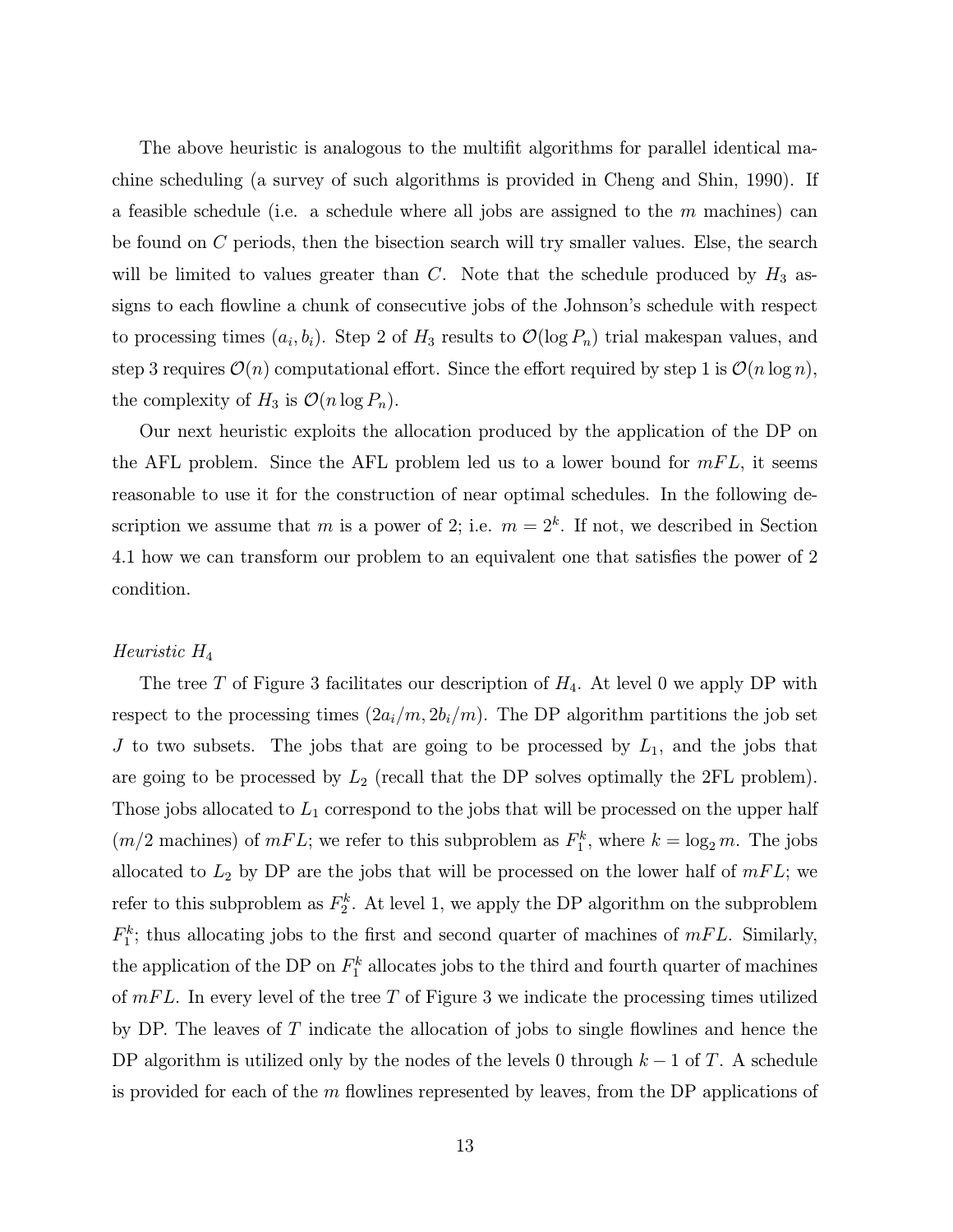The above heuristic is analogous to the multifit algorithms for parallel identical machine scheduling (a survey of such algorithms is provided in Cheng and Shin, 1990). If a feasible schedule (i.e. a schedule where all jobs are assigned to the  $m$  machines) can be found on C periods, then the bisection search will try smaller values. Else, the search will be limited to values greater than  $C$ . Note that the schedule produced by  $H_3$  assigns to each flowline a chunk of consecutive jobs of the Johnson's schedule with respect to processing times  $(a_i, b_i)$ . Step 2 of  $H_3$  results to  $\mathcal{O}(\log P_n)$  trial makespan values, and step 3 requires  $\mathcal{O}(n)$  computational effort. Since the effort required by step 1 is  $\mathcal{O}(n \log n)$ , the complexity of  $H_3$  is  $\mathcal{O}(n \log P_n)$ .

Our next heuristic exploits the allocation produced by the application of the DP on the AFL problem. Since the AFL problem led us to a lower bound for  $mFL$ , it seems reasonable to use it for the construction of near optimal schedules. In the following description we assume that m is a power of 2; i.e.  $m = 2<sup>k</sup>$ . If not, we described in Section 4.1 how we can transform our problem to an equivalent one that satisfies the power of 2 condition.

#### Heuristic H<sup>4</sup>

The tree T of Figure 3 facilitates our description of  $H_4$ . At level 0 we apply DP with respect to the processing times  $(2a_i/m, 2b_i/m)$ . The DP algorithm partitions the job set J to two subsets. The jobs that are going to be processed by  $L_1$ , and the jobs that are going to be processed by  $L_2$  (recall that the DP solves optimally the 2FL problem). Those jobs allocated to  $L_1$  correspond to the jobs that will be processed on the upper half  $(m/2 \text{ machines})$  of  $mFL$ ; we refer to this subproblem as  $F_1^k$ , where  $k = \log_2 m$ . The jobs allocated to  $L_2$  by DP are the jobs that will be processed on the lower half of  $mFL$ ; we refer to this subproblem as  $F_2^k$ . At level 1, we apply the DP algorithm on the subproblem  $F_1^k$ ; thus allocating jobs to the first and second quarter of machines of  $mFL$ . Similarly, the application of the DP on  $F_1^k$  allocates jobs to the third and fourth quarter of machines of  $mFL$ . In every level of the tree T of Figure 3 we indicate the processing times utilized by DP. The leaves of  $T$  indicate the allocation of jobs to single flowlines and hence the DP algorithm is utilized only by the nodes of the levels 0 through  $k-1$  of T. A schedule is provided for each of the  $m$  flowlines represented by leaves, from the DP applications of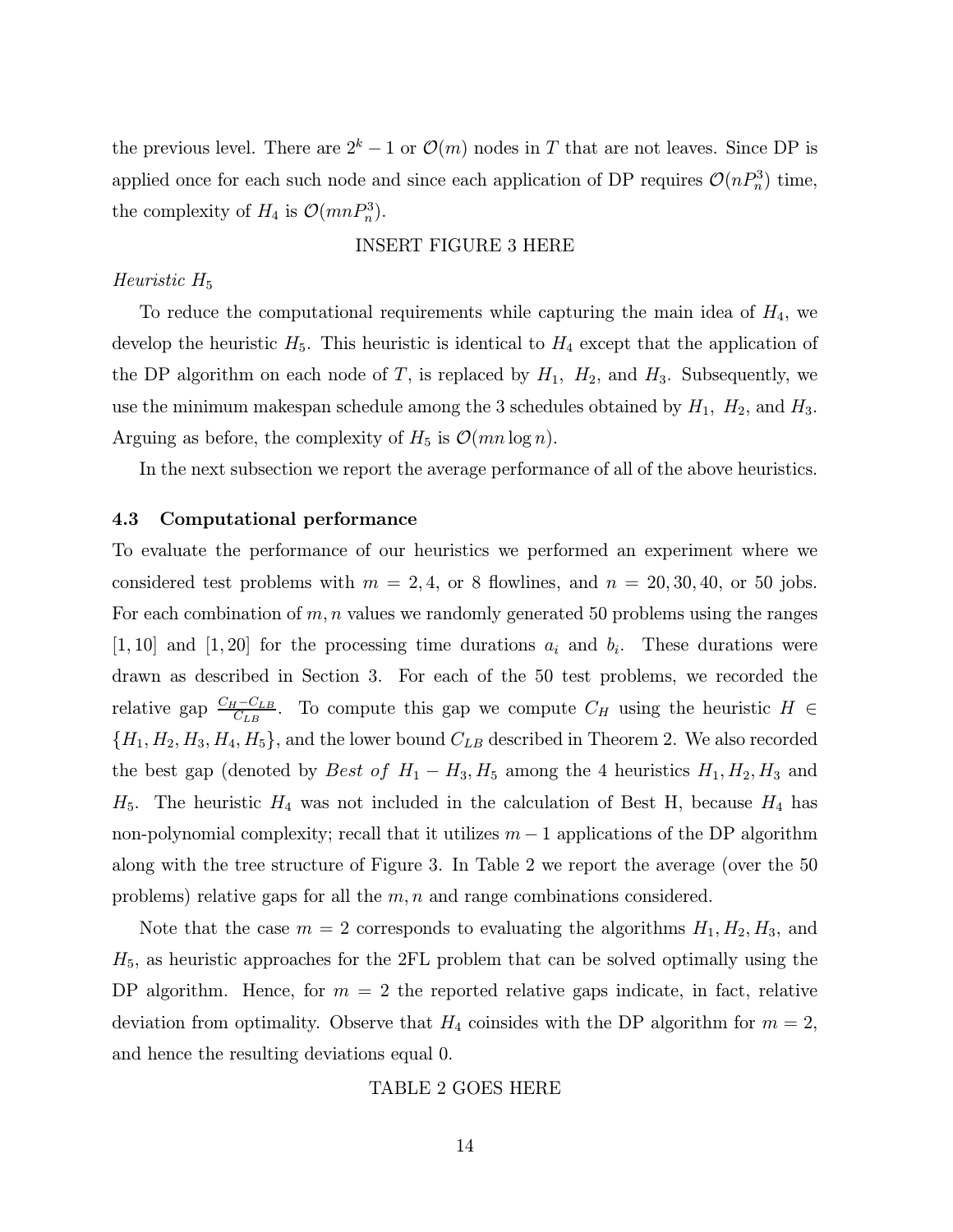the previous level. There are  $2^k - 1$  or  $\mathcal{O}(m)$  nodes in T that are not leaves. Since DP is applied once for each such node and since each application of DP requires  $\mathcal{O}(nP_n^3)$  time, the complexity of  $H_4$  is  $\mathcal{O}(mnP_n^3)$ .

#### INSERT FIGURE 3 HERE

#### Heuristic  $H_5$

To reduce the computational requirements while capturing the main idea of  $H_4$ , we develop the heuristic  $H_5$ . This heuristic is identical to  $H_4$  except that the application of the DP algorithm on each node of T, is replaced by  $H_1$ ,  $H_2$ , and  $H_3$ . Subsequently, we use the minimum makespan schedule among the 3 schedules obtained by  $H_1$ ,  $H_2$ , and  $H_3$ . Arguing as before, the complexity of  $H_5$  is  $\mathcal{O}(mn \log n)$ .

In the next subsection we report the average performance of all of the above heuristics.

#### 4.3 Computational performance

To evaluate the performance of our heuristics we performed an experiment where we considered test problems with  $m = 2, 4$ , or 8 flowlines, and  $n = 20, 30, 40$ , or 50 jobs. For each combination of  $m, n$  values we randomly generated 50 problems using the ranges [1, 10] and [1, 20] for the processing time durations  $a_i$  and  $b_i$ . These durations were drawn as described in Section 3. For each of the 50 test problems, we recorded the relative gap  $\frac{C_H-C_{LB}}{C_{LB}}$ . To compute this gap we compute  $C_H$  using the heuristic  $H \in$  $\{H_1, H_2, H_3, H_4, H_5\}$ , and the lower bound  $C_{LB}$  described in Theorem 2. We also recorded the best gap (denoted by Best of  $H_1 - H_3$ ,  $H_5$  among the 4 heuristics  $H_1, H_2, H_3$  and  $H_5$ . The heuristic  $H_4$  was not included in the calculation of Best H, because  $H_4$  has non-polynomial complexity; recall that it utilizes  $m-1$  applications of the DP algorithm along with the tree structure of Figure 3. In Table 2 we report the average (over the 50 problems) relative gaps for all the  $m, n$  and range combinations considered.

Note that the case  $m = 2$  corresponds to evaluating the algorithms  $H_1, H_2, H_3$ , and  $H_5$ , as heuristic approaches for the 2FL problem that can be solved optimally using the DP algorithm. Hence, for  $m = 2$  the reported relative gaps indicate, in fact, relative deviation from optimality. Observe that  $H_4$  coinsides with the DP algorithm for  $m = 2$ , and hence the resulting deviations equal 0.

#### TABLE 2 GOES HERE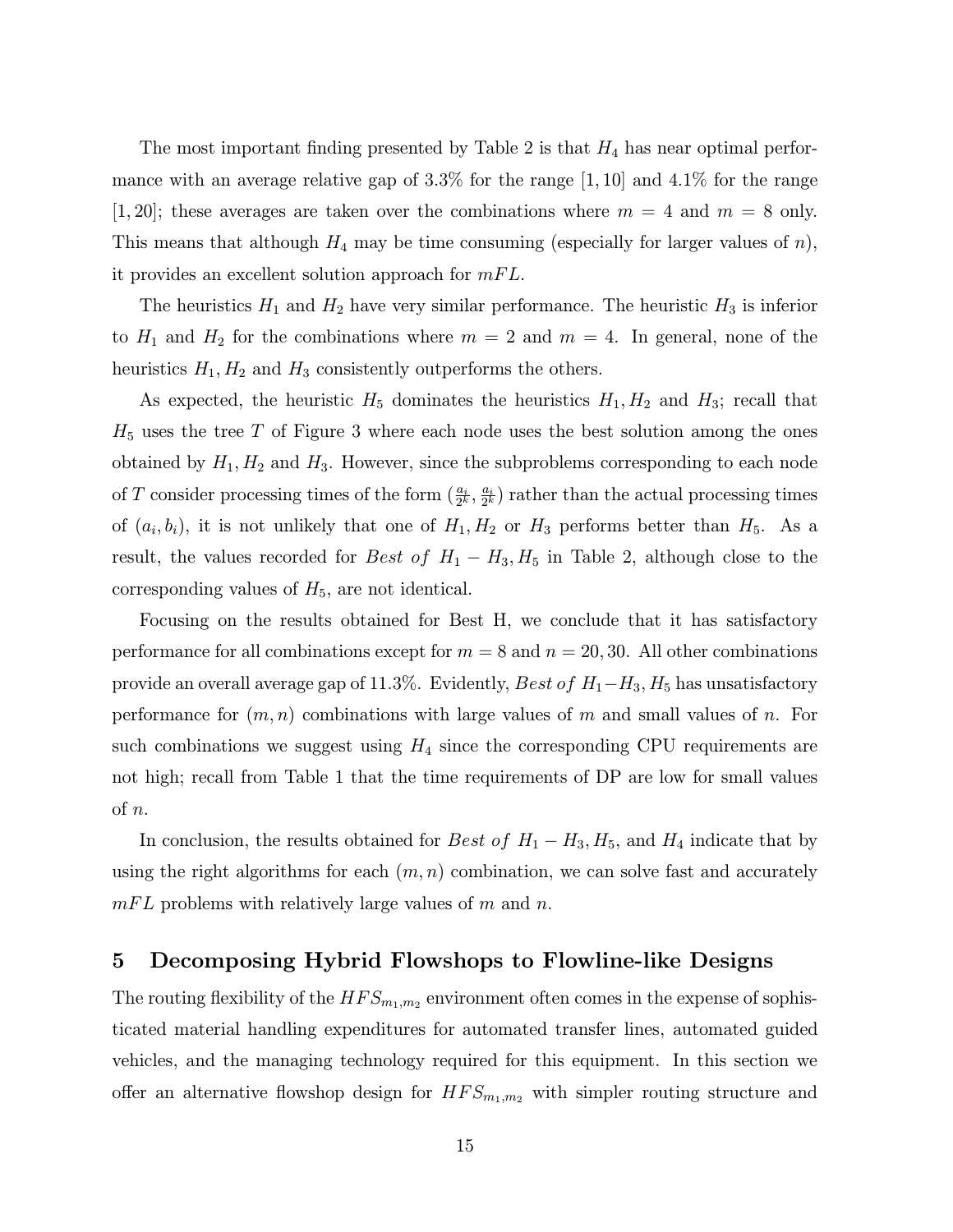The most important finding presented by Table 2 is that  $H_4$  has near optimal performance with an average relative gap of  $3.3\%$  for the range  $[1, 10]$  and  $4.1\%$  for the range [1, 20]; these averages are taken over the combinations where  $m = 4$  and  $m = 8$  only. This means that although  $H_4$  may be time consuming (especially for larger values of n), it provides an excellent solution approach for  $mFL$ .

The heuristics  $H_1$  and  $H_2$  have very similar performance. The heuristic  $H_3$  is inferior to  $H_1$  and  $H_2$  for the combinations where  $m = 2$  and  $m = 4$ . In general, none of the heuristics  $H_1, H_2$  and  $H_3$  consistently outperforms the others.

As expected, the heuristic  $H_5$  dominates the heuristics  $H_1, H_2$  and  $H_3$ ; recall that  $H<sub>5</sub>$  uses the tree T of Figure 3 where each node uses the best solution among the ones obtained by  $H_1, H_2$  and  $H_3$ . However, since the subproblems corresponding to each node of T consider processing times of the form  $(\frac{a_i}{2^k}, \frac{a_i}{2^k})$  rather than the actual processing times of  $(a_i, b_i)$ , it is not unlikely that one of  $H_1, H_2$  or  $H_3$  performs better than  $H_5$ . As a result, the values recorded for Best of  $H_1 - H_3$ ,  $H_5$  in Table 2, although close to the corresponding values of  $H_5$ , are not identical.

Focusing on the results obtained for Best H, we conclude that it has satisfactory performance for all combinations except for  $m = 8$  and  $n = 20, 30$ . All other combinations provide an overall average gap of 11.3%. Evidently, Best of  $H_1-H_3$ ,  $H_5$  has unsatisfactory performance for  $(m, n)$  combinations with large values of m and small values of n. For such combinations we suggest using  $H_4$  since the corresponding CPU requirements are not high; recall from Table 1 that the time requirements of DP are low for small values of n.

In conclusion, the results obtained for Best of  $H_1 - H_3$ ,  $H_5$ , and  $H_4$  indicate that by using the right algorithms for each  $(m, n)$  combination, we can solve fast and accurately  $mFL$  problems with relatively large values of m and n.

# 5 Decomposing Hybrid Flowshops to Flowline-like Designs

The routing flexibility of the  $HFS_{m_1,m_2}$  environment often comes in the expense of sophisticated material handling expenditures for automated transfer lines, automated guided vehicles, and the managing technology required for this equipment. In this section we offer an alternative flowshop design for  $HFS_{m_1,m_2}$  with simpler routing structure and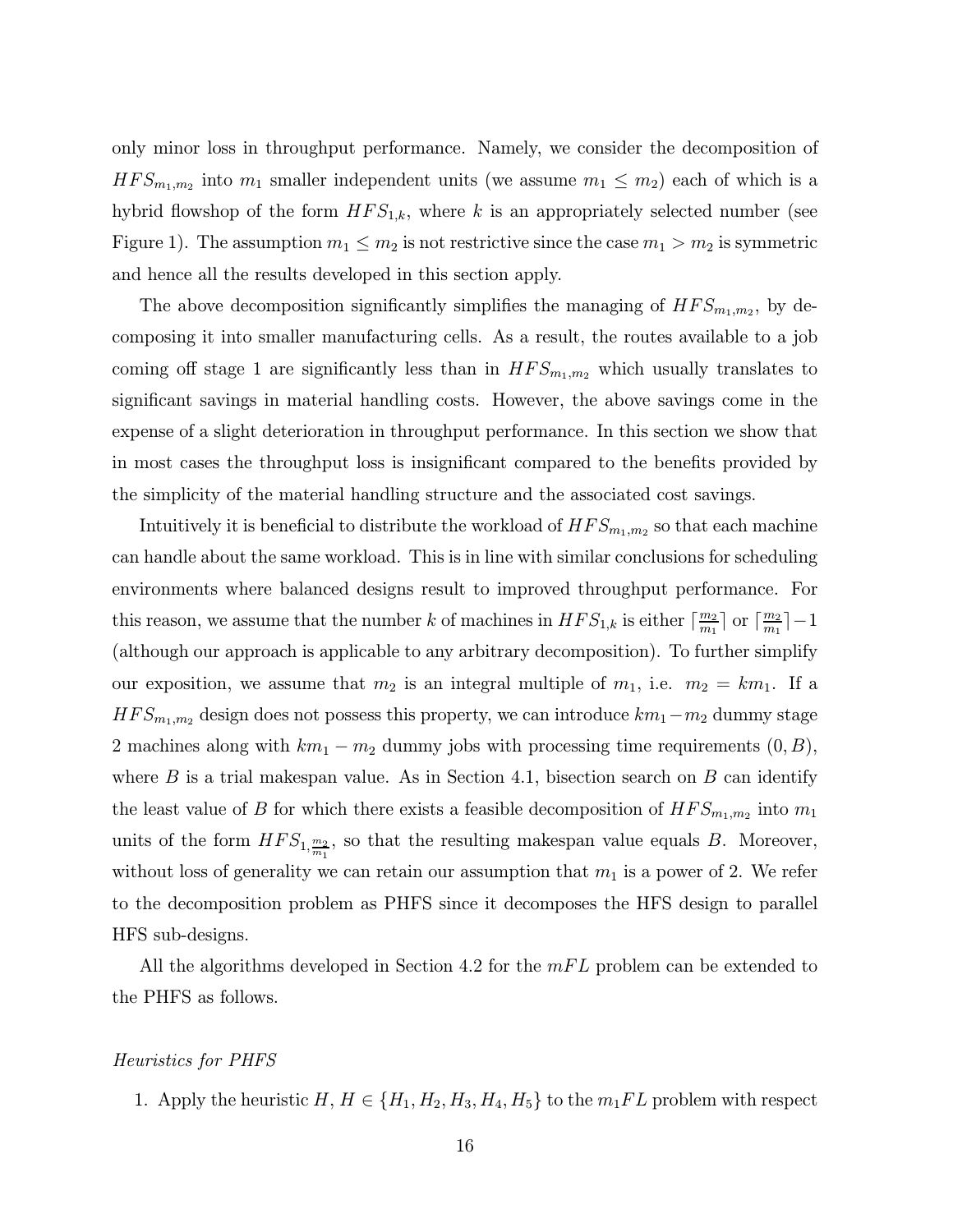only minor loss in throughput performance. Namely, we consider the decomposition of  $HFS_{m_1,m_2}$  into  $m_1$  smaller independent units (we assume  $m_1 \leq m_2$ ) each of which is a hybrid flowshop of the form  $HFS_{1,k}$ , where k is an appropriately selected number (see Figure 1). The assumption  $m_1 \leq m_2$  is not restrictive since the case  $m_1 > m_2$  is symmetric and hence all the results developed in this section apply.

The above decomposition significantly simplifies the managing of  $HFS_{m_1,m_2}$ , by decomposing it into smaller manufacturing cells. As a result, the routes available to a job coming off stage 1 are significantly less than in  $HFS_{m_1,m_2}$  which usually translates to significant savings in material handling costs. However, the above savings come in the expense of a slight deterioration in throughput performance. In this section we show that in most cases the throughput loss is insignificant compared to the benefits provided by the simplicity of the material handling structure and the associated cost savings.

Intuitively it is beneficial to distribute the workload of  $HFS_{m_1,m_2}$  so that each machine can handle about the same workload. This is in line with similar conclusions for scheduling environments where balanced designs result to improved throughput performance. For this reason, we assume that the number k of machines in  $HFS_{1,k}$  is either  $\lceil \frac{m_2}{m_1} \rceil$  or  $\lceil \frac{m_2}{m_1} \rceil - 1$ (although our approach is applicable to any arbitrary decomposition). To further simplify our exposition, we assume that  $m_2$  is an integral multiple of  $m_1$ , i.e.  $m_2 = km_1$ . If a  $HFS_{m_1,m_2}$  design does not possess this property, we can introduce  $km_1-m_2$  dummy stage 2 machines along with  $km_1 - m_2$  dummy jobs with processing time requirements  $(0, B)$ , where  $B$  is a trial makespan value. As in Section 4.1, bisection search on  $B$  can identify the least value of B for which there exists a feasible decomposition of  $HFS_{m_1,m_2}$  into  $m_1$ units of the form  $HFS_{1,\frac{m_2}{m_1}}$ , so that the resulting makespan value equals B. Moreover, without loss of generality we can retain our assumption that  $m_1$  is a power of 2. We refer to the decomposition problem as PHFS since it decomposes the HFS design to parallel HFS sub-designs.

All the algorithms developed in Section 4.2 for the  $mFL$  problem can be extended to the PHFS as follows.

#### Heuristics for PHFS

1. Apply the heuristic  $H, H \in \{H_1, H_2, H_3, H_4, H_5\}$  to the  $m_1 FL$  problem with respect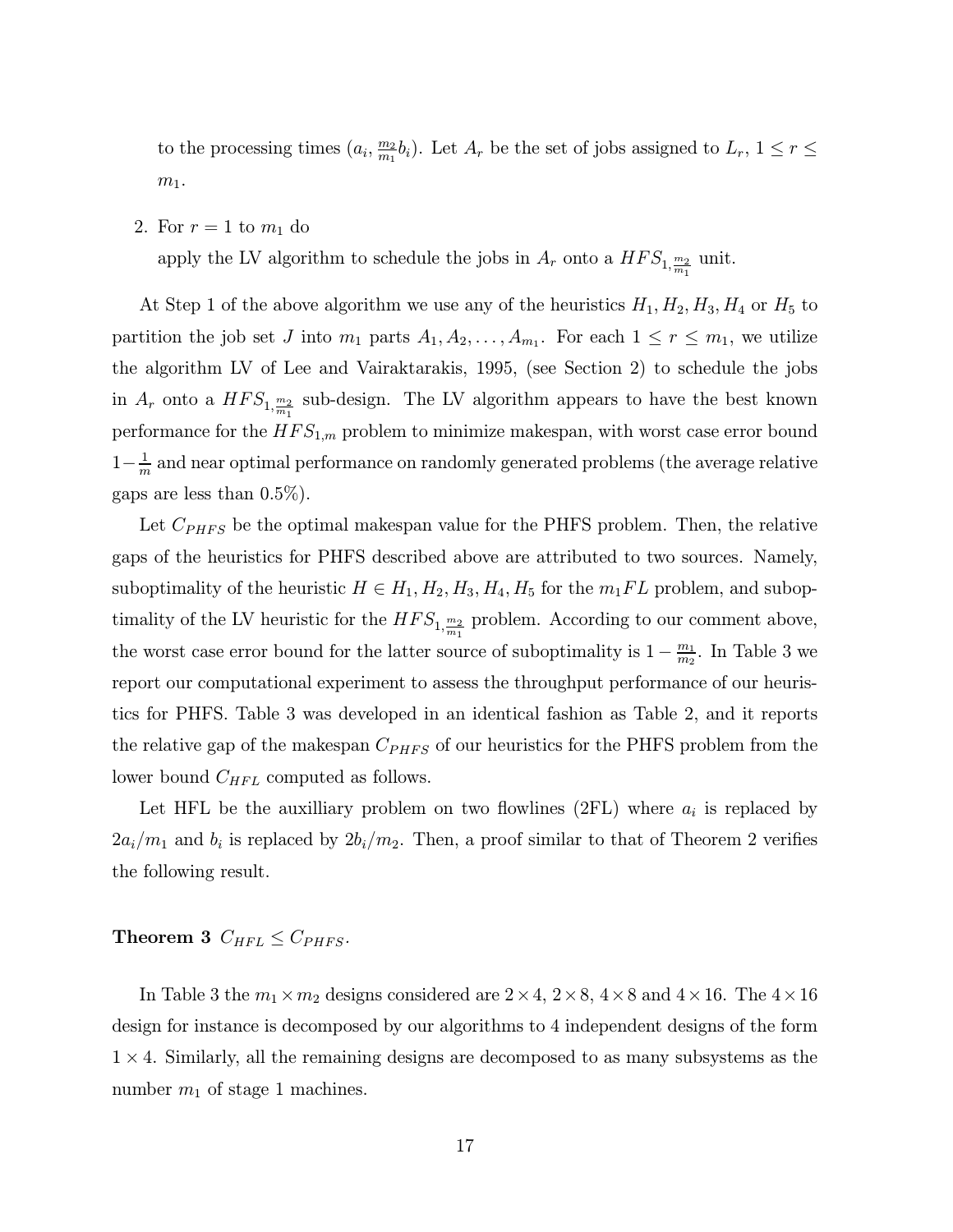to the processing times  $(a_i, \frac{m_2}{m_1}b_i)$ . Let  $A_r$  be the set of jobs assigned to  $L_r$ ,  $1 \leq r \leq$  $m_1$ .

2. For  $r = 1$  to  $m_1$  do

apply the LV algorithm to schedule the jobs in  $A_r$  onto a  $HFS_{1,\frac{m_2}{m_1}}$  unit.

At Step 1 of the above algorithm we use any of the heuristics  $H_1, H_2, H_3, H_4$  or  $H_5$  to partition the job set J into  $m_1$  parts  $A_1, A_2, \ldots, A_{m_1}$ . For each  $1 \leq r \leq m_1$ , we utilize the algorithm LV of Lee and Vairaktarakis, 1995, (see Section 2) to schedule the jobs in  $A_r$  onto a  $HFS_{1,\frac{m_2}{m_1}}$  sub-design. The LV algorithm appears to have the best known performance for the  $HFS_{1,m}$  problem to minimize makespan, with worst case error bound  $1-\frac{1}{m}$  and near optimal performance on randomly generated problems (the average relative gaps are less than 0.5%).

Let  $C_{PHFS}$  be the optimal makespan value for the PHFS problem. Then, the relative gaps of the heuristics for PHFS described above are attributed to two sources. Namely, suboptimality of the heuristic  $H \in H_1, H_2, H_3, H_4, H_5$  for the  $m_1FL$  problem, and suboptimality of the LV heuristic for the  $HFS_{1,\frac{m_2}{m_1}}$  problem. According to our comment above, the worst case error bound for the latter source of suboptimality is  $1 - \frac{m_1}{m_2}$ . In Table 3 we report our computational experiment to assess the throughput performance of our heuristics for PHFS. Table 3 was developed in an identical fashion as Table 2, and it reports the relative gap of the makespan  $C_{PHFS}$  of our heuristics for the PHFS problem from the lower bound  $C_{HFL}$  computed as follows.

Let HFL be the auxilliary problem on two flowlines (2FL) where  $a_i$  is replaced by  $2a_i/m_1$  and  $b_i$  is replaced by  $2b_i/m_2$ . Then, a proof similar to that of Theorem 2 verifies the following result.

# Theorem 3  $C_{HFL} \leq C_{PHFS}$ .

In Table 3 the  $m_1 \times m_2$  designs considered are  $2 \times 4$ ,  $2 \times 8$ ,  $4 \times 8$  and  $4 \times 16$ . The  $4 \times 16$ design for instance is decomposed by our algorithms to 4 independent designs of the form  $1 \times 4$ . Similarly, all the remaining designs are decomposed to as many subsystems as the number  $m_1$  of stage 1 machines.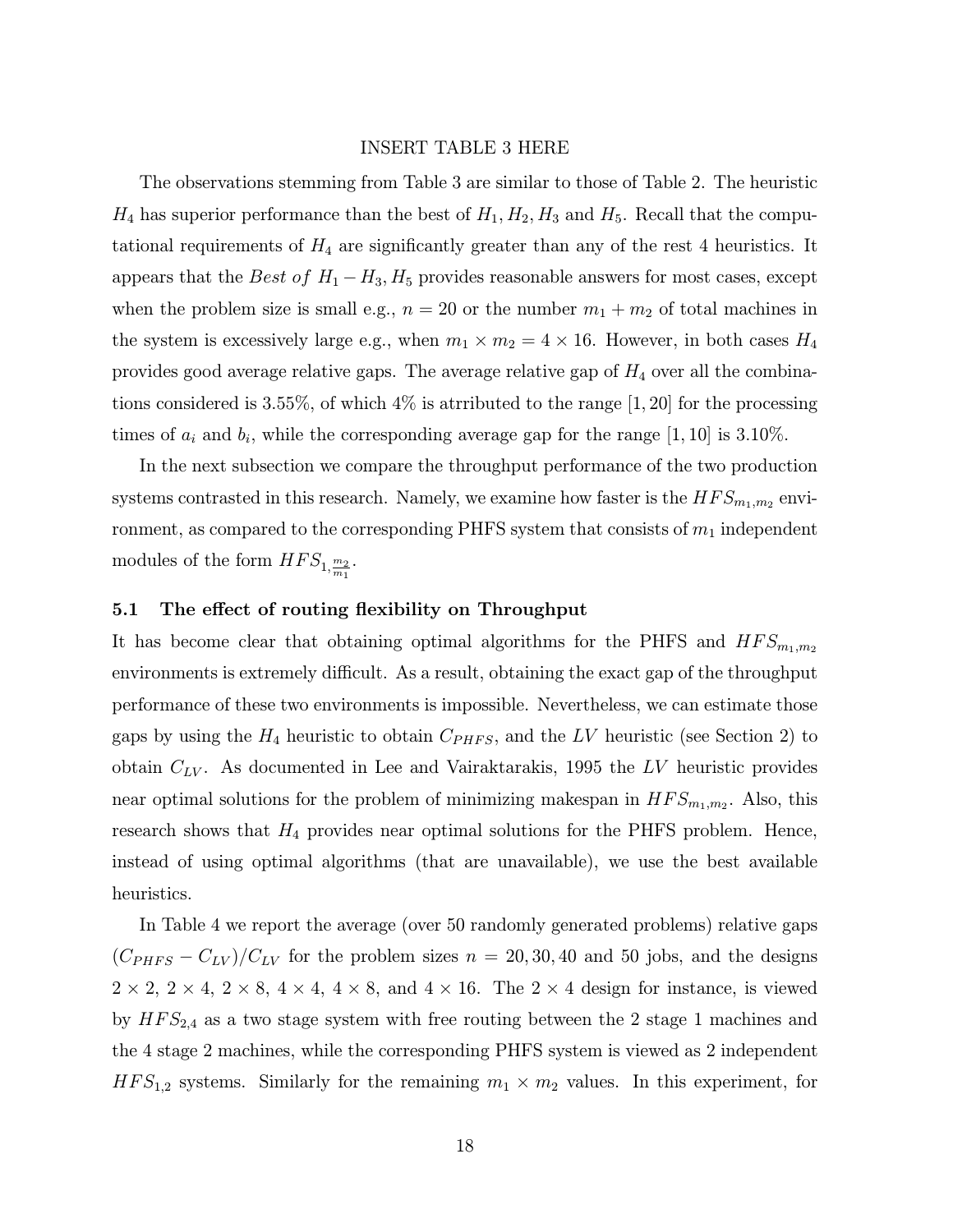#### INSERT TABLE 3 HERE

The observations stemming from Table 3 are similar to those of Table 2. The heuristic  $H_4$  has superior performance than the best of  $H_1, H_2, H_3$  and  $H_5$ . Recall that the computational requirements of  $H_4$  are significantly greater than any of the rest 4 heuristics. It appears that the Best of  $H_1 - H_3$ ,  $H_5$  provides reasonable answers for most cases, except when the problem size is small e.g.,  $n = 20$  or the number  $m_1 + m_2$  of total machines in the system is excessively large e.g., when  $m_1 \times m_2 = 4 \times 16$ . However, in both cases  $H_4$ provides good average relative gaps. The average relative gap of  $H_4$  over all the combinations considered is 3.55%, of which 4% is atrributed to the range [1, 20] for the processing times of  $a_i$  and  $b_i$ , while the corresponding average gap for the range [1, 10] is 3.10%.

In the next subsection we compare the throughput performance of the two production systems contrasted in this research. Namely, we examine how faster is the  $HFS_{m_1,m_2}$  environment, as compared to the corresponding PHFS system that consists of  $m_1$  independent modules of the form  $HFS_{1,\frac{m_2}{m_1}}$ .

#### 5.1 The effect of routing flexibility on Throughput

It has become clear that obtaining optimal algorithms for the PHFS and  $HFS_{m_1,m_2}$ environments is extremely difficult. As a result, obtaining the exact gap of the throughput performance of these two environments is impossible. Nevertheless, we can estimate those gaps by using the  $H_4$  heuristic to obtain  $C_{PHFS}$ , and the LV heuristic (see Section 2) to obtain  $C_{LV}$ . As documented in Lee and Vairaktarakis, 1995 the LV heuristic provides near optimal solutions for the problem of minimizing makespan in  $HFS_{m_1,m_2}$ . Also, this research shows that  $H_4$  provides near optimal solutions for the PHFS problem. Hence, instead of using optimal algorithms (that are unavailable), we use the best available heuristics.

In Table 4 we report the average (over 50 randomly generated problems) relative gaps  $(C_{PHFS}-C_{LV})/C_{LV}$  for the problem sizes  $n=20,30,40$  and 50 jobs, and the designs  $2 \times 2$ ,  $2 \times 4$ ,  $2 \times 8$ ,  $4 \times 4$ ,  $4 \times 8$ , and  $4 \times 16$ . The  $2 \times 4$  design for instance, is viewed by  $HFS_{2,4}$  as a two stage system with free routing between the 2 stage 1 machines and the 4 stage 2 machines, while the corresponding PHFS system is viewed as 2 independent  $HFS_{1,2}$  systems. Similarly for the remaining  $m_1 \times m_2$  values. In this experiment, for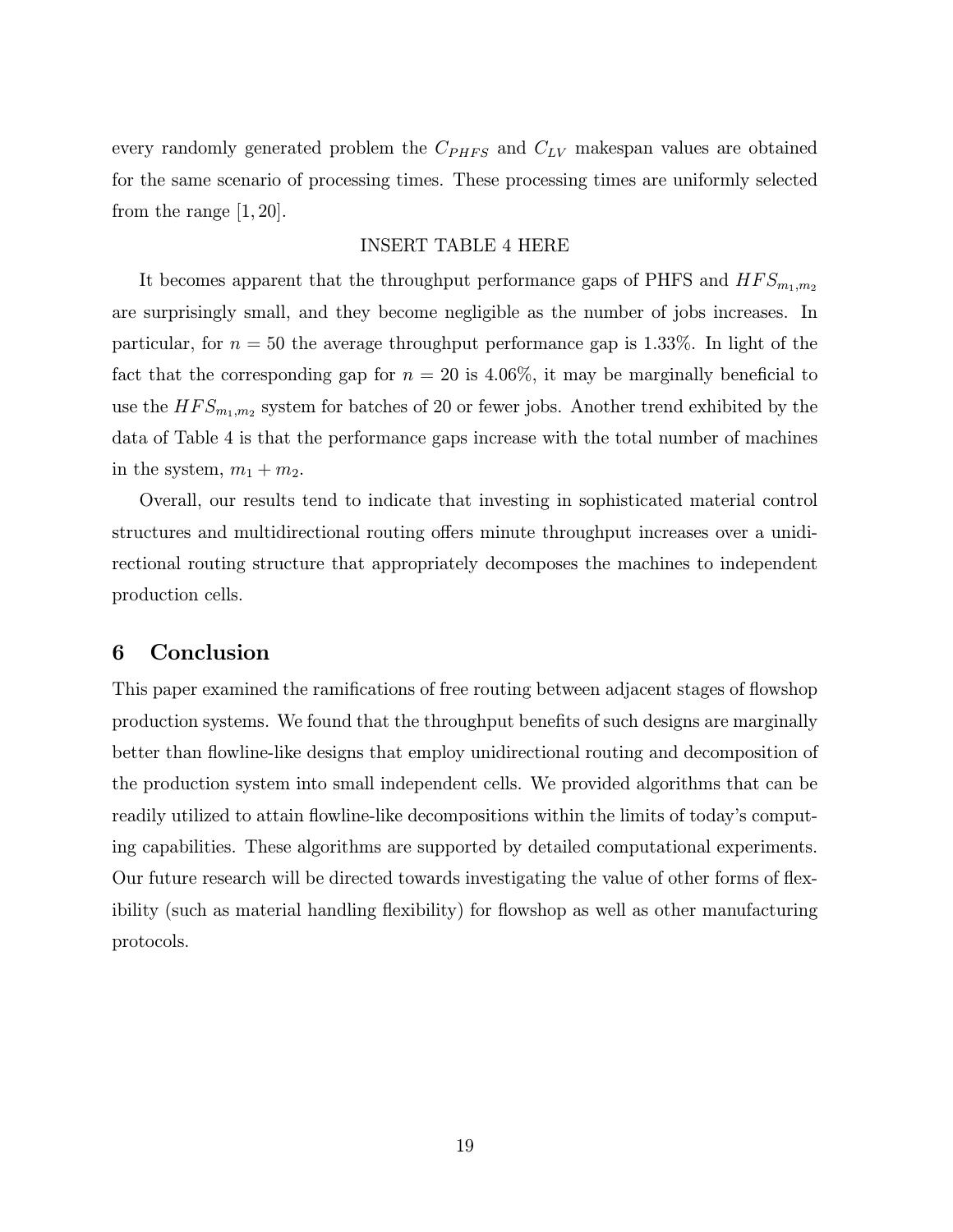every randomly generated problem the  $C_{PHFS}$  and  $C_{LV}$  makespan values are obtained for the same scenario of processing times. These processing times are uniformly selected from the range [1, 20].

#### INSERT TABLE 4 HERE

It becomes apparent that the throughput performance gaps of PHFS and  $HFS_{m_1,m_2}$ are surprisingly small, and they become negligible as the number of jobs increases. In particular, for  $n = 50$  the average throughput performance gap is 1.33%. In light of the fact that the corresponding gap for  $n = 20$  is 4.06%, it may be marginally beneficial to use the  $HFS_{m_1,m_2}$  system for batches of 20 or fewer jobs. Another trend exhibited by the data of Table 4 is that the performance gaps increase with the total number of machines in the system,  $m_1 + m_2$ .

Overall, our results tend to indicate that investing in sophisticated material control structures and multidirectional routing offers minute throughput increases over a unidirectional routing structure that appropriately decomposes the machines to independent production cells.

# 6 Conclusion

This paper examined the ramifications of free routing between adjacent stages of flowshop production systems. We found that the throughput benefits of such designs are marginally better than flowline-like designs that employ unidirectional routing and decomposition of the production system into small independent cells. We provided algorithms that can be readily utilized to attain flowline-like decompositions within the limits of today's computing capabilities. These algorithms are supported by detailed computational experiments. Our future research will be directed towards investigating the value of other forms of flexibility (such as material handling flexibility) for flowshop as well as other manufacturing protocols.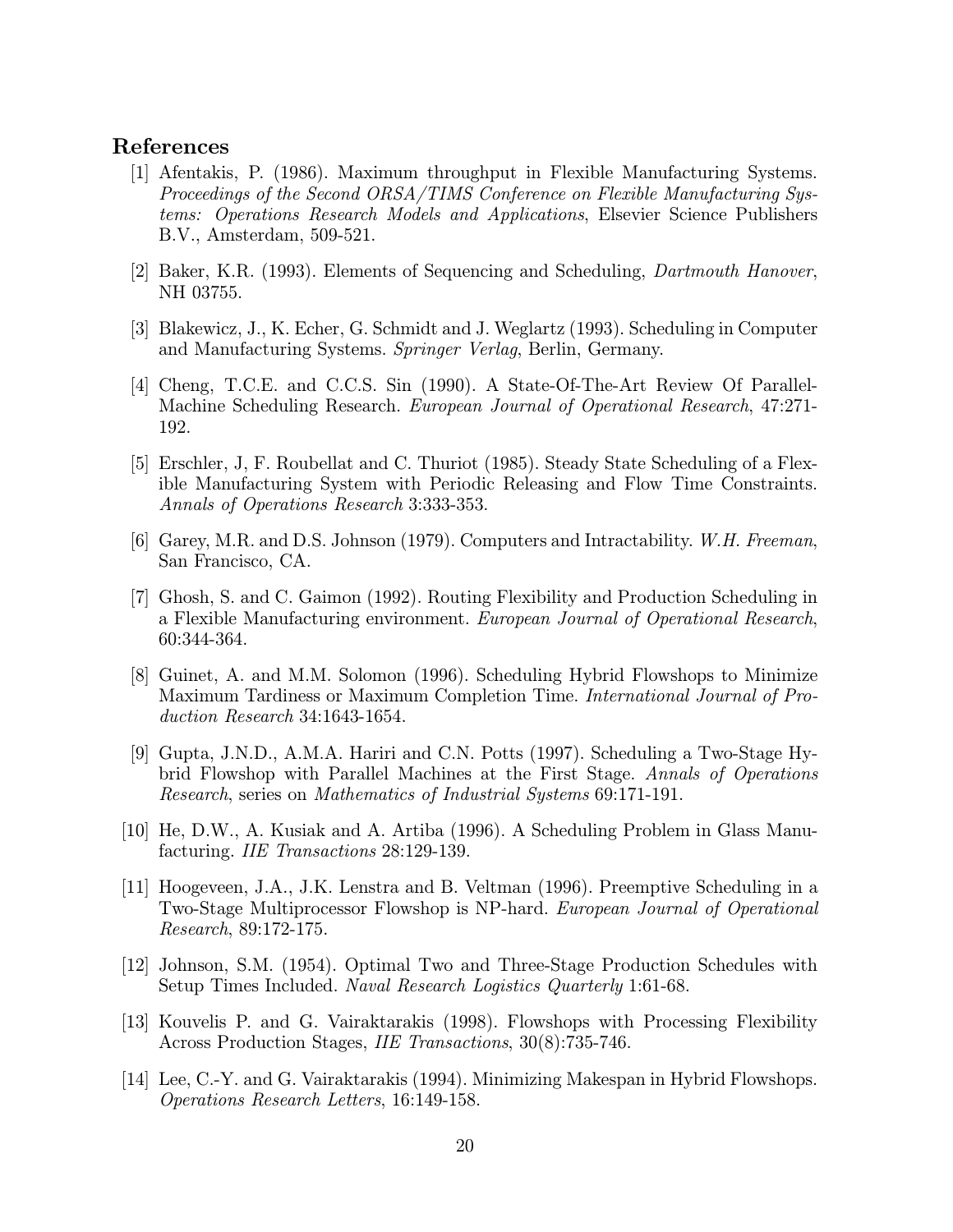# References

- [1] Afentakis, P. (1986). Maximum throughput in Flexible Manufacturing Systems. Proceedings of the Second ORSA/TIMS Conference on Flexible Manufacturing Systems: Operations Research Models and Applications, Elsevier Science Publishers B.V., Amsterdam, 509-521.
- [2] Baker, K.R. (1993). Elements of Sequencing and Scheduling, Dartmouth Hanover, NH 03755.
- [3] Blakewicz, J., K. Echer, G. Schmidt and J. Weglartz (1993). Scheduling in Computer and Manufacturing Systems. Springer Verlag, Berlin, Germany.
- [4] Cheng, T.C.E. and C.C.S. Sin (1990). A State-Of-The-Art Review Of Parallel-Machine Scheduling Research. European Journal of Operational Research, 47:271- 192.
- [5] Erschler, J, F. Roubellat and C. Thuriot (1985). Steady State Scheduling of a Flexible Manufacturing System with Periodic Releasing and Flow Time Constraints. Annals of Operations Research 3:333-353.
- [6] Garey, M.R. and D.S. Johnson (1979). Computers and Intractability. W.H. Freeman, San Francisco, CA.
- [7] Ghosh, S. and C. Gaimon (1992). Routing Flexibility and Production Scheduling in a Flexible Manufacturing environment. European Journal of Operational Research, 60:344-364.
- [8] Guinet, A. and M.M. Solomon (1996). Scheduling Hybrid Flowshops to Minimize Maximum Tardiness or Maximum Completion Time. International Journal of Production Research 34:1643-1654.
- [9] Gupta, J.N.D., A.M.A. Hariri and C.N. Potts (1997). Scheduling a Two-Stage Hybrid Flowshop with Parallel Machines at the First Stage. Annals of Operations Research, series on Mathematics of Industrial Systems 69:171-191.
- [10] He, D.W., A. Kusiak and A. Artiba (1996). A Scheduling Problem in Glass Manufacturing. IIE Transactions 28:129-139.
- [11] Hoogeveen, J.A., J.K. Lenstra and B. Veltman (1996). Preemptive Scheduling in a Two-Stage Multiprocessor Flowshop is NP-hard. European Journal of Operational Research, 89:172-175.
- [12] Johnson, S.M. (1954). Optimal Two and Three-Stage Production Schedules with Setup Times Included. Naval Research Logistics Quarterly 1:61-68.
- [13] Kouvelis P. and G. Vairaktarakis (1998). Flowshops with Processing Flexibility Across Production Stages, IIE Transactions, 30(8):735-746.
- [14] Lee, C.-Y. and G. Vairaktarakis (1994). Minimizing Makespan in Hybrid Flowshops. Operations Research Letters, 16:149-158.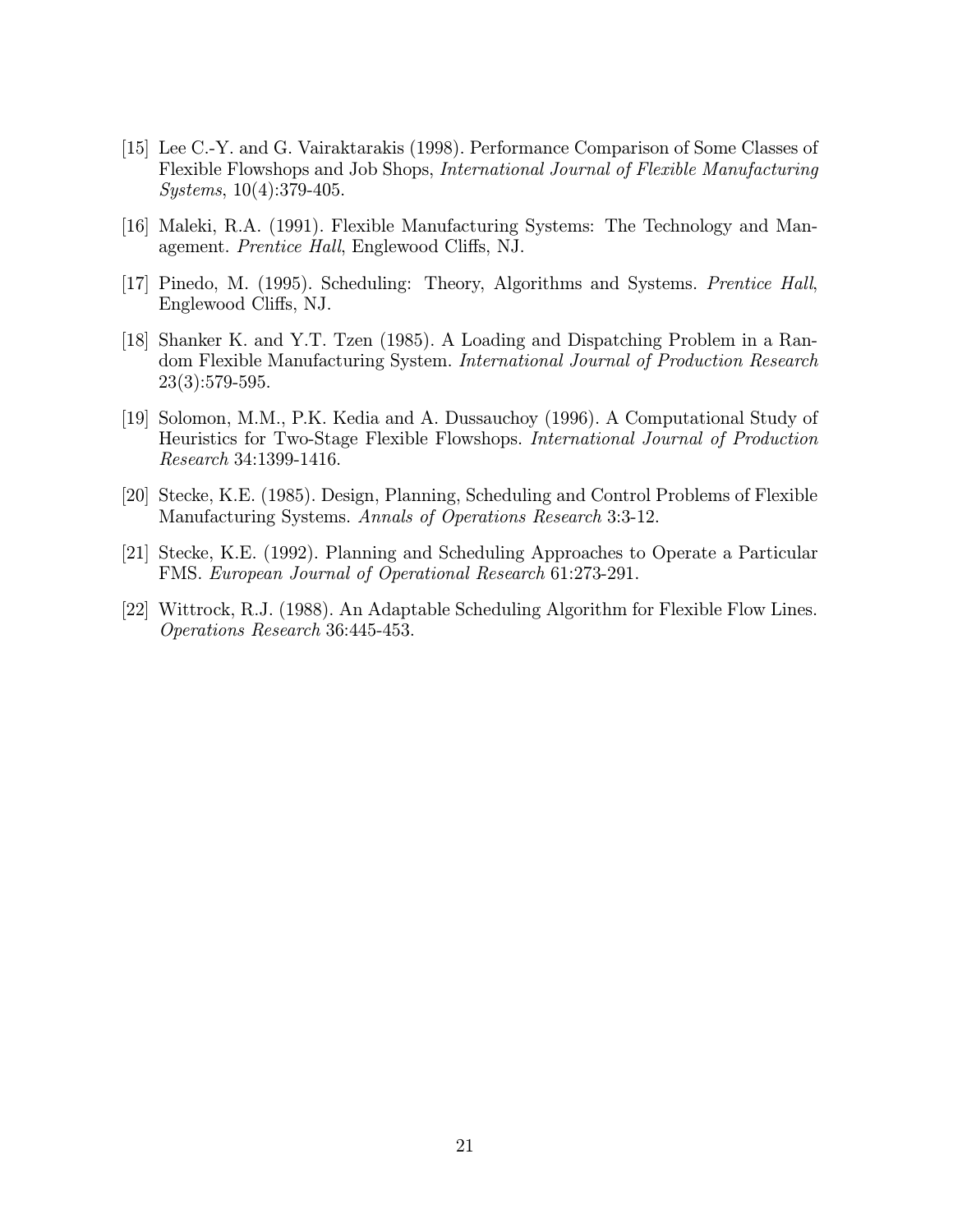- [15] Lee C.-Y. and G. Vairaktarakis (1998). Performance Comparison of Some Classes of Flexible Flowshops and Job Shops, International Journal of Flexible Manufacturing Systems, 10(4):379-405.
- [16] Maleki, R.A. (1991). Flexible Manufacturing Systems: The Technology and Management. Prentice Hall, Englewood Cliffs, NJ.
- [17] Pinedo, M. (1995). Scheduling: Theory, Algorithms and Systems. Prentice Hall, Englewood Cliffs, NJ.
- [18] Shanker K. and Y.T. Tzen (1985). A Loading and Dispatching Problem in a Random Flexible Manufacturing System. International Journal of Production Research 23(3):579-595.
- [19] Solomon, M.M., P.K. Kedia and A. Dussauchoy (1996). A Computational Study of Heuristics for Two-Stage Flexible Flowshops. International Journal of Production Research 34:1399-1416.
- [20] Stecke, K.E. (1985). Design, Planning, Scheduling and Control Problems of Flexible Manufacturing Systems. Annals of Operations Research 3:3-12.
- [21] Stecke, K.E. (1992). Planning and Scheduling Approaches to Operate a Particular FMS. European Journal of Operational Research 61:273-291.
- [22] Wittrock, R.J. (1988). An Adaptable Scheduling Algorithm for Flexible Flow Lines. Operations Research 36:445-453.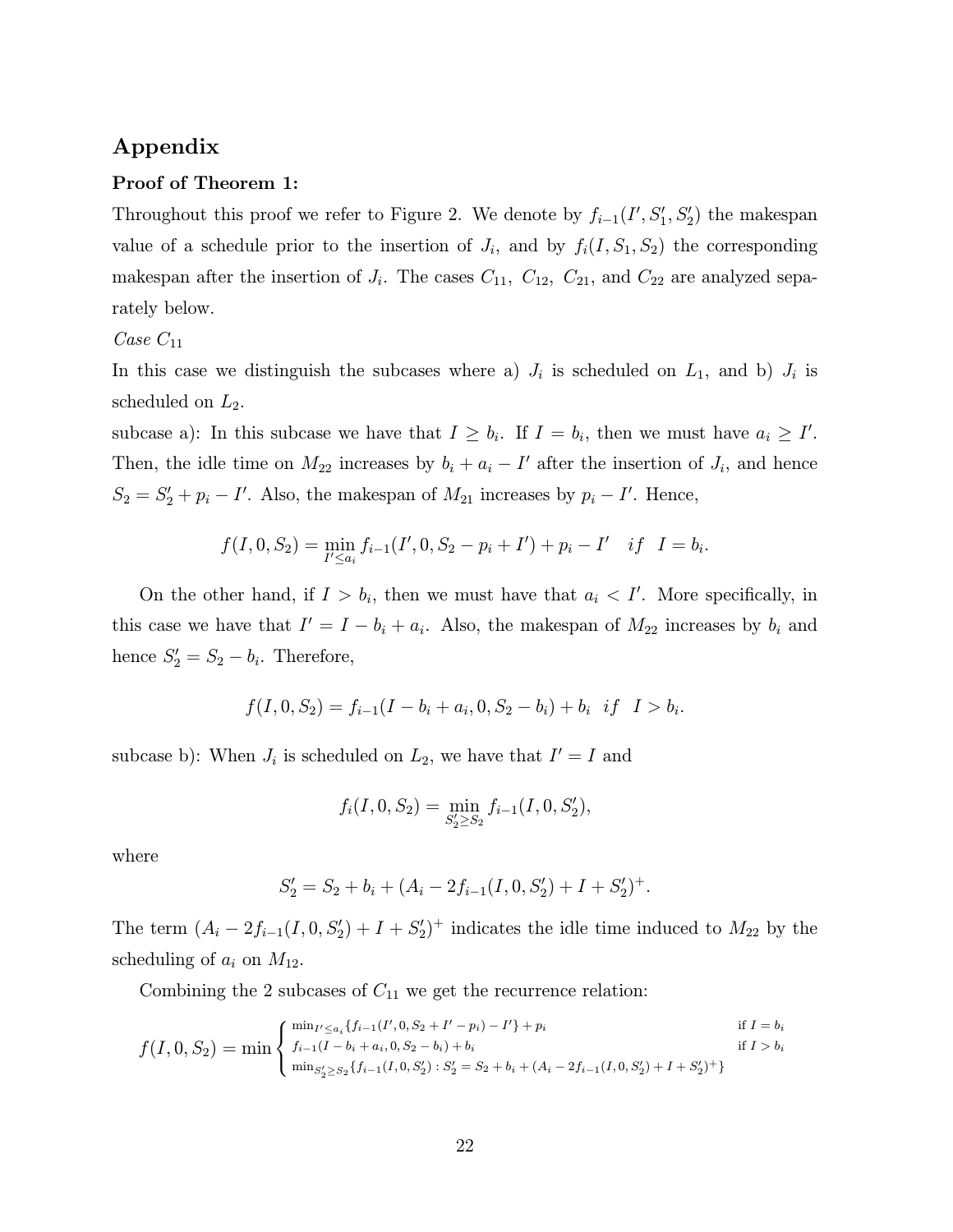# Appendix

#### Proof of Theorem 1:

Throughout this proof we refer to Figure 2. We denote by  $f_{i-1}(I', S'_1, S'_2)$  the makespan value of a schedule prior to the insertion of  $J_i$ , and by  $f_i(I, S_1, S_2)$  the corresponding makespan after the insertion of  $J_i$ . The cases  $C_{11}$ ,  $C_{12}$ ,  $C_{21}$ , and  $C_{22}$  are analyzed separately below.

#### Case  $C_{11}$

In this case we distinguish the subcases where a)  $J_i$  is scheduled on  $L_1$ , and b)  $J_i$  is scheduled on  $L_2$ .

subcase a): In this subcase we have that  $I \ge b_i$ . If  $I = b_i$ , then we must have  $a_i \ge I'$ . Then, the idle time on  $M_{22}$  increases by  $b_i + a_i - I'$  after the insertion of  $J_i$ , and hence  $S_2 = S_2' + p_i - I'$ . Also, the makespan of  $M_{21}$  increases by  $p_i - I'$ . Hence,

$$
f(I, 0, S_2) = \min_{I' \le a_i} f_{i-1}(I', 0, S_2 - p_i + I') + p_i - I' \quad if \quad I = b_i.
$$

On the other hand, if  $I > b_i$ , then we must have that  $a_i < I'$ . More specifically, in this case we have that  $I' = I - b_i + a_i$ . Also, the makespan of  $M_{22}$  increases by  $b_i$  and hence  $S_2' = S_2 - b_i$ . Therefore,

$$
f(I, 0, S_2) = f_{i-1}(I - b_i + a_i, 0, S_2 - b_i) + b_i \quad if \quad I > b_i.
$$

subcase b): When  $J_i$  is scheduled on  $L_2$ , we have that  $I' = I$  and

$$
f_i(I, 0, S_2) = \min_{S_2' \ge S_2} f_{i-1}(I, 0, S_2'),
$$

where

$$
S_2' = S_2 + b_i + (A_i - 2f_{i-1}(I, 0, S_2') + I + S_2')^{+}.
$$

The term  $(A_i - 2f_{i-1}(I, 0, S_2') + I + S_2')$ <sup>+</sup> indicates the idle time induced to  $M_{22}$  by the scheduling of  $a_i$  on  $M_{12}$ .

Combining the 2 subcases of  $C_{11}$  we get the recurrence relation:

$$
f(I, 0, S_2) = \min \begin{cases} \min_{I' \le a_i} \{f_{i-1}(I', 0, S_2 + I' - p_i) - I'\} + p_i & \text{if } I = b_i \\ f_{i-1}(I - b_i + a_i, 0, S_2 - b_i) + b_i & \text{if } I > b_i \\ \min_{S_2' \ge S_2} \{f_{i-1}(I, 0, S_2') : S_2' = S_2 + b_i + (A_i - 2f_{i-1}(I, 0, S_2') + I + S_2')^+\} \end{cases}
$$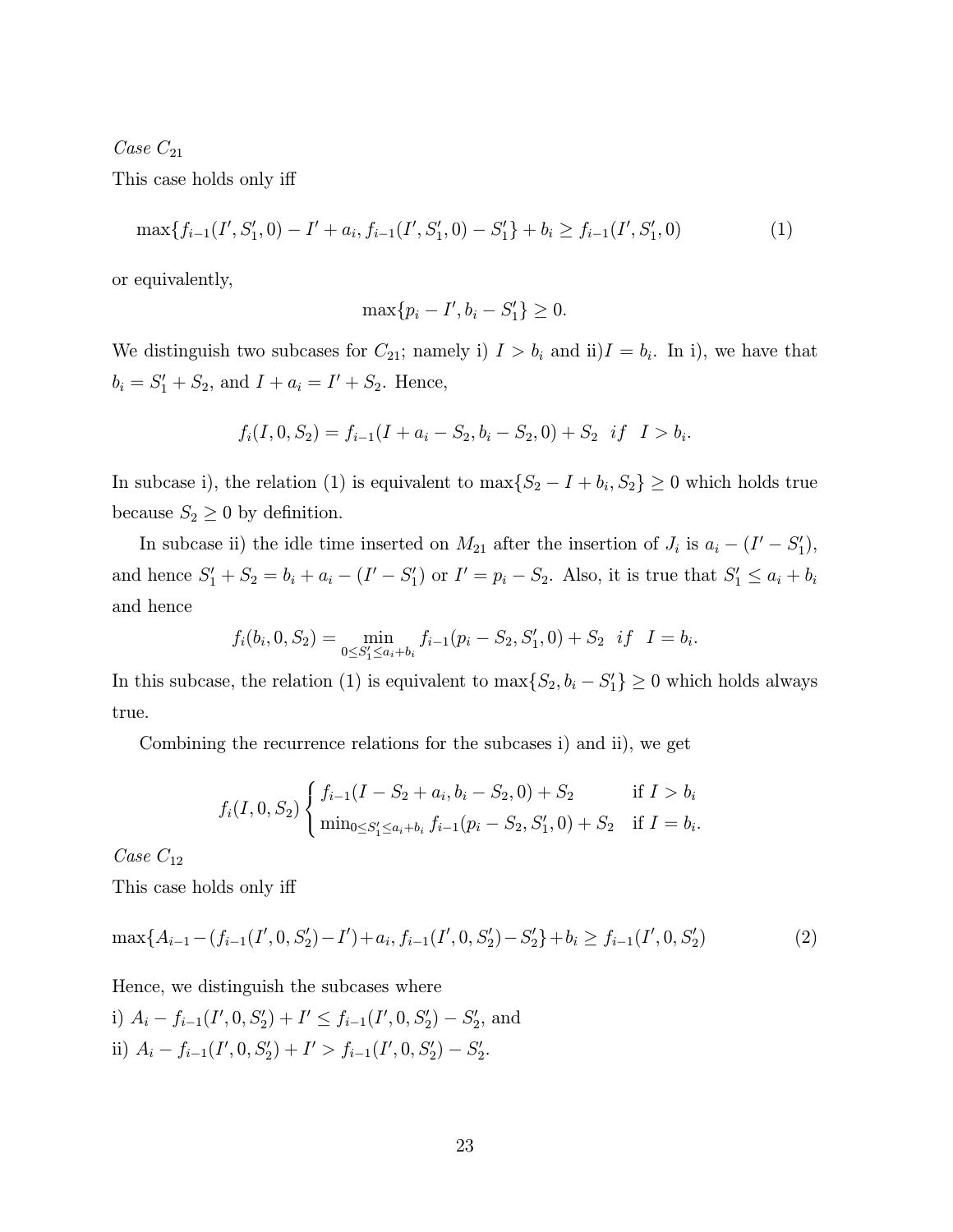$Case C_{21}$ 

This case holds only iff

$$
\max\{f_{i-1}(I',S'_1,0)-I'+a_i,f_{i-1}(I',S'_1,0)-S'_1\}+b_i\geq f_{i-1}(I',S'_1,0)
$$
\n(1)

or equivalently,

$$
\max\{p_i - I', b_i - S'_1\} \ge 0.
$$

We distinguish two subcases for  $C_{21}$ ; namely i)  $I > b_i$  and ii) $I = b_i$ . In i), we have that  $b_i = S_1' + S_2$ , and  $I + a_i = I' + S_2$ . Hence,

$$
f_i(I, 0, S_2) = f_{i-1}(I + a_i - S_2, b_i - S_2, 0) + S_2 \text{ if } I > b_i.
$$

In subcase i), the relation (1) is equivalent to  $\max\{S_2 - I + b_i, S_2\} \ge 0$  which holds true because  $S_2 \geq 0$  by definition.

In subcase ii) the idle time inserted on  $M_{21}$  after the insertion of  $J_i$  is  $a_i - (I' - S'_1)$ , and hence  $S'_1 + S_2 = b_i + a_i - (I' - S'_1)$  or  $I' = p_i - S_2$ . Also, it is true that  $S'_1 \le a_i + b_i$ and hence

$$
f_i(b_i, 0, S_2) = \min_{0 \leq S_1' \leq a_i + b_i} f_{i-1}(p_i - S_2, S_1', 0) + S_2 \text{ if } I = b_i.
$$

In this subcase, the relation (1) is equivalent to  $\max\{S_2, b_i - S_1'\} \ge 0$  which holds always true.

Combining the recurrence relations for the subcases i) and ii), we get

$$
f_i(I, 0, S_2) \begin{cases} f_{i-1}(I - S_2 + a_i, b_i - S_2, 0) + S_2 & \text{if } I > b_i \\ \min_{0 \le S_1' \le a_i + b_i} f_{i-1}(p_i - S_2, S_1', 0) + S_2 & \text{if } I = b_i. \end{cases}
$$

 $Case C_{12}$ 

This case holds only iff

$$
\max\{A_{i-1}-(f_{i-1}(I',0,S_2')-I')+a_i,f_{i-1}(I',0,S_2')-S_2'\}+b_i\geq f_{i-1}(I',0,S_2')\tag{2}
$$

Hence, we distinguish the subcases where

i) 
$$
A_i - f_{i-1}(I', 0, S'_2) + I' \le f_{i-1}(I', 0, S'_2) - S'_2
$$
, and  
ii)  $A_i - f_{i-1}(I', 0, S'_2) + I' > f_{i-1}(I', 0, S'_2) - S'_2$ .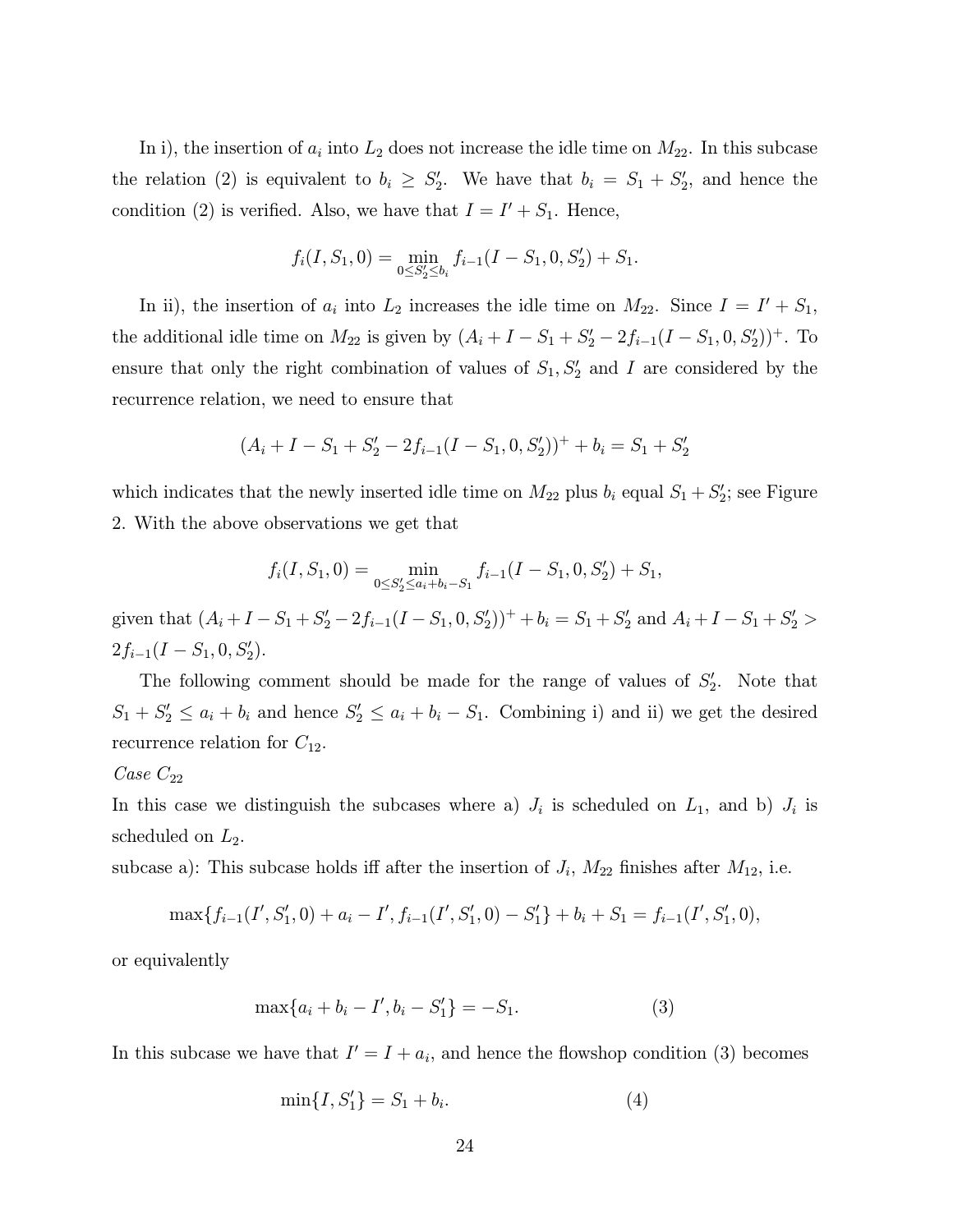In i), the insertion of  $a_i$  into  $L_2$  does not increase the idle time on  $M_{22}$ . In this subcase the relation (2) is equivalent to  $b_i \geq S_2'$ . We have that  $b_i = S_1 + S_2'$ , and hence the condition (2) is verified. Also, we have that  $I = I' + S_1$ . Hence,

$$
f_i(I, S_1, 0) = \min_{0 \le S_2' \le b_i} f_{i-1}(I - S_1, 0, S_2') + S_1.
$$

In ii), the insertion of  $a_i$  into  $L_2$  increases the idle time on  $M_{22}$ . Since  $I = I' + S_1$ , the additional idle time on  $M_{22}$  is given by  $(A_i + I - S_1 + S_2' - 2f_{i-1}(I - S_1, 0, S_2'))^+$ . To ensure that only the right combination of values of  $S_1, S_2'$  and I are considered by the recurrence relation, we need to ensure that

$$
(A_i + I - S_1 + S'_2 - 2f_{i-1}(I - S_1, 0, S'_2))^{+} + b_i = S_1 + S'_2
$$

which indicates that the newly inserted idle time on  $M_{22}$  plus  $b_i$  equal  $S_1 + S_2'$ ; see Figure 2. With the above observations we get that

$$
f_i(I, S_1, 0) = \min_{0 \le S_2' \le a_i + b_i - S_1} f_{i-1}(I - S_1, 0, S_2') + S_1,
$$

given that  $(A_i + I - S_1 + S_2' - 2f_{i-1}(I - S_1, 0, S_2'))^+ + b_i = S_1 + S_2'$  and  $A_i + I - S_1 + S_2' >$  $2f_{i-1}(I-S_1,0,S'_2).$ 

The following comment should be made for the range of values of  $S_2'$ . Note that  $S_1 + S_2' \le a_i + b_i$  and hence  $S_2' \le a_i + b_i - S_1$ . Combining i) and ii) we get the desired recurrence relation for  $C_{12}$ .

#### $Case C_{22}$

In this case we distinguish the subcases where a)  $J_i$  is scheduled on  $L_1$ , and b)  $J_i$  is scheduled on  $L_2$ .

subcase a): This subcase holds iff after the insertion of  $J_i$ ,  $M_{22}$  finishes after  $M_{12}$ , i.e.

$$
\max\{f_{i-1}(I',S'_1,0)+a_i-I',f_{i-1}(I',S'_1,0)-S'_1\}+b_i+S_1=f_{i-1}(I',S'_1,0),
$$

or equivalently

$$
\max\{a_i + b_i - I', b_i - S'_1\} = -S_1.
$$
 (3)

In this subcase we have that  $I' = I + a_i$ , and hence the flowshop condition (3) becomes

$$
\min\{I, S_1'\} = S_1 + b_i. \tag{4}
$$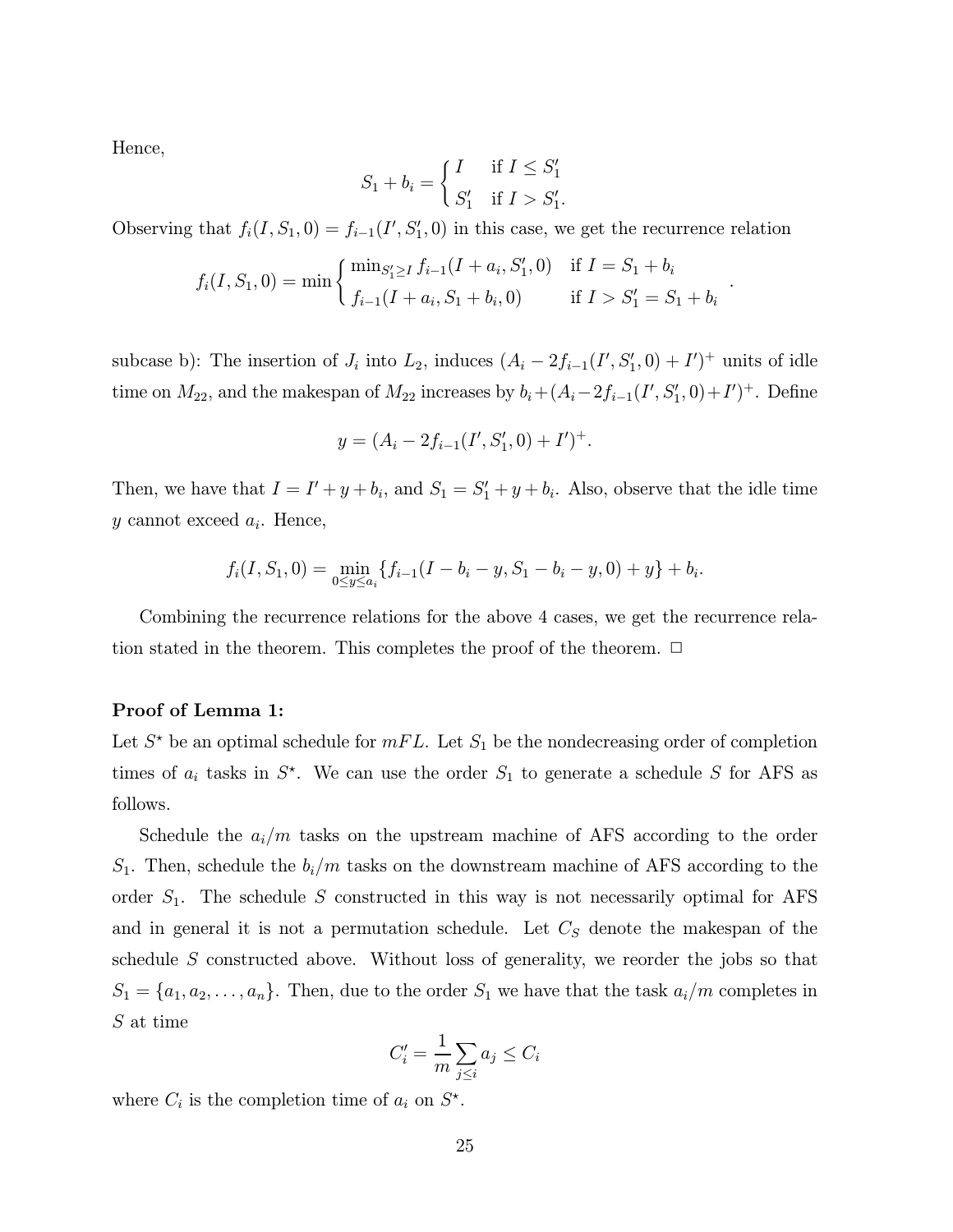Hence,

$$
S_1 + b_i = \begin{cases} I & \text{if } I \le S_1' \\ S_1' & \text{if } I > S_1'. \end{cases}
$$

Observing that  $f_i(I, S_1, 0) = f_{i-1}(I', S'_1, 0)$  in this case, we get the recurrence relation

$$
f_i(I, S_1, 0) = \min \begin{cases} \min_{S_1' \geq I} f_{i-1}(I + a_i, S_1', 0) & \text{if } I = S_1 + b_i \\ f_{i-1}(I + a_i, S_1 + b_i, 0) & \text{if } I > S_1' = S_1 + b_i \end{cases}
$$

.

subcase b): The insertion of  $J_i$  into  $L_2$ , induces  $(A_i - 2f_{i-1}(I', S'_1, 0) + I')^+$  units of idle time on  $M_{22}$ , and the makespan of  $M_{22}$  increases by  $b_i + (A_i - 2f_{i-1}(I', S'_1, 0) + I')^+$ . Define

$$
y = (A_i - 2f_{i-1}(I', S'_1, 0) + I')^{+}.
$$

Then, we have that  $I = I' + y + b_i$ , and  $S_1 = S_1' + y + b_i$ . Also, observe that the idle time y cannot exceed  $a_i$ . Hence,

$$
f_i(I, S_1, 0) = \min_{0 \le y \le a_i} \{ f_{i-1}(I - b_i - y, S_1 - b_i - y, 0) + y \} + b_i.
$$

Combining the recurrence relations for the above 4 cases, we get the recurrence relation stated in the theorem. This completes the proof of the theorem.  $\Box$ 

#### Proof of Lemma 1:

Let  $S^*$  be an optimal schedule for  $mFL$ . Let  $S_1$  be the nondecreasing order of completion times of  $a_i$  tasks in  $S^*$ . We can use the order  $S_1$  to generate a schedule S for AFS as follows.

Schedule the  $a_i/m$  tasks on the upstream machine of AFS according to the order  $S_1$ . Then, schedule the  $b_i/m$  tasks on the downstream machine of AFS according to the order  $S_1$ . The schedule S constructed in this way is not necessarily optimal for AFS and in general it is not a permutation schedule. Let  $C<sub>S</sub>$  denote the makespan of the schedule S constructed above. Without loss of generality, we reorder the jobs so that  $S_1 = \{a_1, a_2, \ldots, a_n\}$ . Then, due to the order  $S_1$  we have that the task  $a_i/m$  completes in S at time

$$
C_i' = \frac{1}{m} \sum_{j \le i} a_j \le C_i
$$

where  $C_i$  is the completion time of  $a_i$  on  $S^*$ .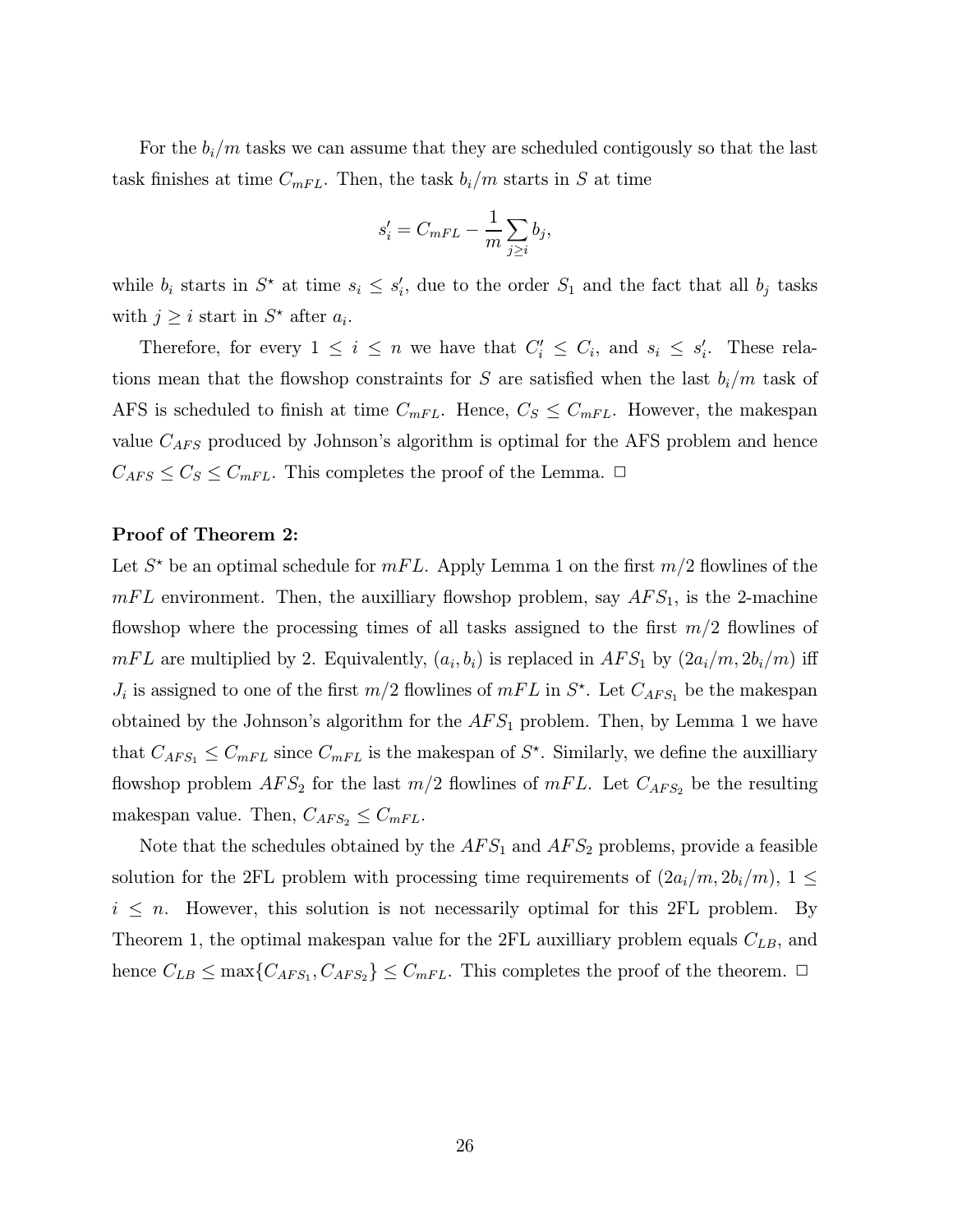For the  $b_i/m$  tasks we can assume that they are scheduled contigously so that the last task finishes at time  $C_{mFL}$ . Then, the task  $b_i/m$  starts in S at time

$$
s_i' = C_{mFL} - \frac{1}{m} \sum_{j \geq i} b_j,
$$

while  $b_i$  starts in  $S^*$  at time  $s_i \leq s_i'$ , due to the order  $S_1$  and the fact that all  $b_j$  tasks with  $j \geq i$  start in  $S^*$  after  $a_i$ .

Therefore, for every  $1 \leq i \leq n$  we have that  $C_i' \leq C_i$ , and  $s_i \leq s_i'$ . These relations mean that the flowshop constraints for S are satisfied when the last  $b_i/m$  task of AFS is scheduled to finish at time  $C_{mFL}$ . Hence,  $C_S \leq C_{mFL}$ . However, the makespan value  $C_{AFS}$  produced by Johnson's algorithm is optimal for the AFS problem and hence  $C_{AFS} \leq C_S \leq C_{mFL}$ . This completes the proof of the Lemma.  $\Box$ 

#### Proof of Theorem 2:

Let  $S^*$  be an optimal schedule for  $mFL$ . Apply Lemma 1 on the first  $m/2$  flowlines of the  $mFL$  environment. Then, the auxilliary flowshop problem, say  $AFS<sub>1</sub>$ , is the 2-machine flowshop where the processing times of all tasks assigned to the first  $m/2$  flowlines of  $mFL$  are multiplied by 2. Equivalently,  $(a_i, b_i)$  is replaced in  $AFS_1$  by  $(2a_i/m, 2b_i/m)$  iff  $J_i$  is assigned to one of the first  $m/2$  flowlines of  $mFL$  in  $S^*$ . Let  $C_{AFS_1}$  be the makespan obtained by the Johnson's algorithm for the  $AFS<sub>1</sub>$  problem. Then, by Lemma 1 we have that  $C_{AFS_1} \leq C_{mFL}$  since  $C_{mFL}$  is the makespan of  $S^*$ . Similarly, we define the auxilliary flowshop problem  $AFS_2$  for the last  $m/2$  flowlines of  $mFL$ . Let  $C_{AFS_2}$  be the resulting makespan value. Then,  $C_{AFS_2} \leq C_{mFL}$ .

Note that the schedules obtained by the  $AFS_1$  and  $AFS_2$  problems, provide a feasible solution for the 2FL problem with processing time requirements of  $(2a_i/m, 2b_i/m)$ ,  $1 \leq$  $i \leq n$ . However, this solution is not necessarily optimal for this 2FL problem. By Theorem 1, the optimal makespan value for the 2FL auxilliary problem equals  $C_{LB}$ , and hence  $C_{LB} \le \max\{C_{AFS_1}, C_{AFS_2}\} \le C_{mFL}$ . This completes the proof of the theorem.  $\Box$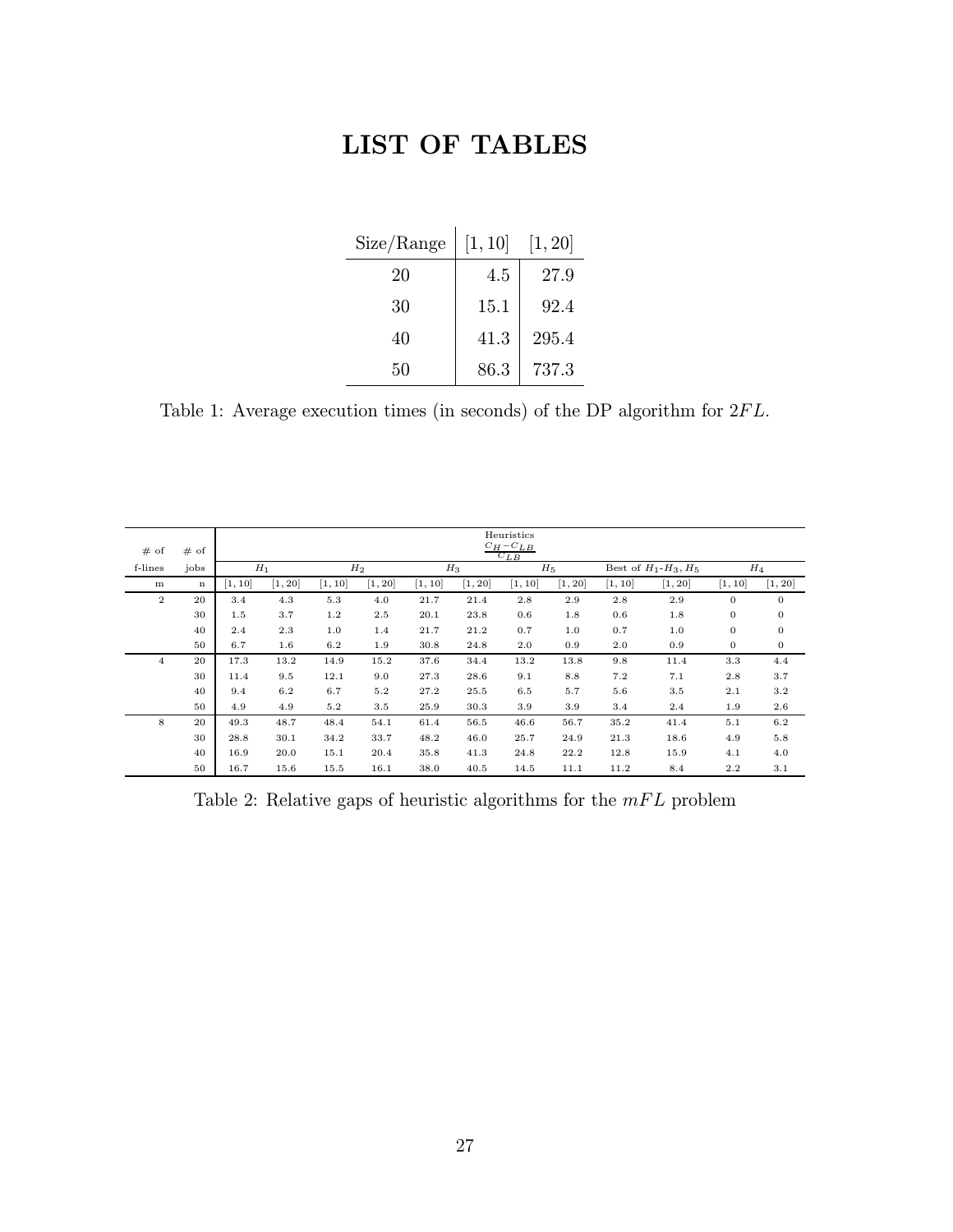# LIST OF TABLES

| Size/Range | [1, 10] | [1, 20] |
|------------|---------|---------|
| 20         | 4.5     | 27.9    |
| 30         | 15.1    | 92.4    |
| 40         | 41.3    | 295.4   |
| 50         | 86.3    | 737.3   |

Table 1: Average execution times (in seconds) of the DP algorithm for  $2FL$ .

|                |             | Heuristics<br>$C_H - C_{LB}$ |         |         |         |         |         |         |         |                               |         |                |              |
|----------------|-------------|------------------------------|---------|---------|---------|---------|---------|---------|---------|-------------------------------|---------|----------------|--------------|
| # of           | # of        | $C_{LR}$                     |         |         |         |         |         |         |         |                               |         |                |              |
| f-lines        | jobs        | $H_1$                        |         | $H_2$   |         | $H_3$   |         | $H_5$   |         | Best of $H_1$ - $H_3$ , $H_5$ |         | $H_4$          |              |
| m              | $\mathbf n$ | [1, 10]                      | [1, 20] | [1, 10] | [1, 20] | [1, 10] | [1, 20] | [1, 10] | [1, 20] | [1, 10]                       | [1, 20] | [1, 10]        | [1, 20]      |
| $\overline{2}$ | 20          | 3.4                          | 4.3     | 5.3     | 4.0     | 21.7    | 21.4    | 2.8     | 2.9     | 2.8                           | 2.9     | $\overline{0}$ | $\mathbf{0}$ |
|                | 30          | 1.5                          | 3.7     | 1.2     | $2.5\,$ | 20.1    | 23.8    | 0.6     | 1.8     | 0.6                           | 1.8     | $\mathbf{0}$   | 0            |
|                | 40          | 2.4                          | 2.3     | 1.0     | 1.4     | 21.7    | 21.2    | 0.7     | 1.0     | 0.7                           | 1.0     | $\overline{0}$ | $\bf{0}$     |
|                | 50          | 6.7                          | 1.6     | 6.2     | 1.9     | 30.8    | 24.8    | 2.0     | 0.9     | 2.0                           | 0.9     | $\bf{0}$       | $\bf{0}$     |
| 4              | 20          | 17.3                         | 13.2    | 14.9    | 15.2    | 37.6    | 34.4    | 13.2    | 13.8    | 9.8                           | 11.4    | 3.3            | 4.4          |
|                | 30          | 11.4                         | 9.5     | 12.1    | 9.0     | 27.3    | 28.6    | 9.1     | 8.8     | 7.2                           | 7.1     | 2.8            | 3.7          |
|                | 40          | 9.4                          | 6.2     | 6.7     | 5.2     | 27.2    | 25.5    | 6.5     | 5.7     | 5.6                           | 3.5     | 2.1            | 3.2          |
|                | 50          | 4.9                          | 4.9     | 5.2     | $3.5\,$ | 25.9    | 30.3    | 3.9     | 3.9     | 3.4                           | 2.4     | 1.9            | $2.6\,$      |
| 8              | 20          | 49.3                         | 48.7    | 48.4    | 54.1    | 61.4    | 56.5    | 46.6    | 56.7    | 35.2                          | 41.4    | 5.1            | 6.2          |
|                | 30          | 28.8                         | 30.1    | 34.2    | 33.7    | 48.2    | 46.0    | 25.7    | 24.9    | 21.3                          | 18.6    | 4.9            | 5.8          |
|                | 40          | 16.9                         | 20.0    | 15.1    | 20.4    | 35.8    | 41.3    | 24.8    | 22.2    | 12.8                          | 15.9    | 4.1            | 4.0          |
|                | 50          | 16.7                         | 15.6    | 15.5    | 16.1    | 38.0    | 40.5    | 14.5    | 11.1    | 11.2                          | 8.4     | $2.2\,$        | 3.1          |

Table 2: Relative gaps of heuristic algorithms for the  $mFL$  problem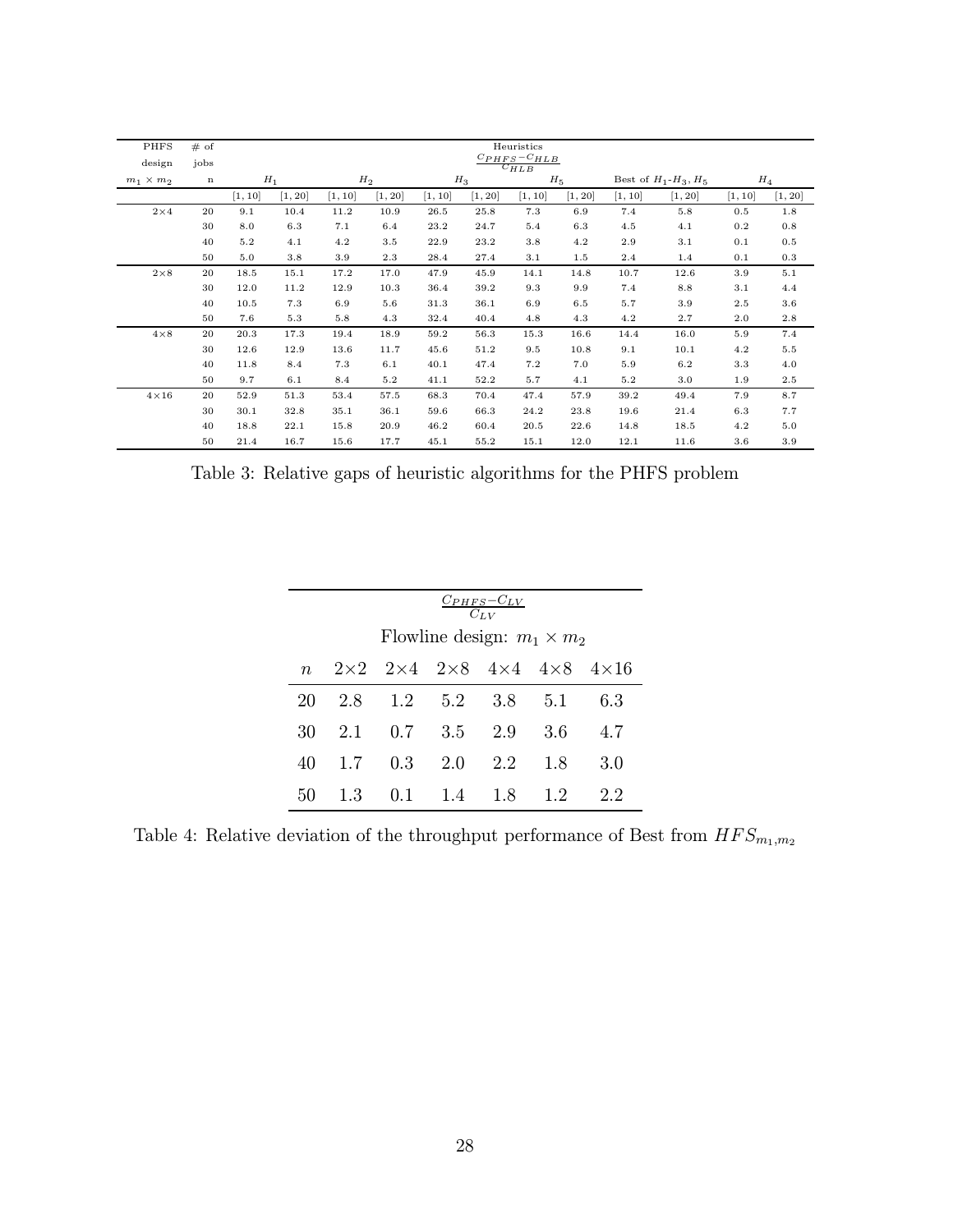| <b>PHFS</b>      | # of        | Heuristics                      |         |         |         |         |         |         |         |         |                               |         |         |  |
|------------------|-------------|---------------------------------|---------|---------|---------|---------|---------|---------|---------|---------|-------------------------------|---------|---------|--|
| design           | jobs        | $C_{PHFS}-C_{HLB}$<br>$C_{HLB}$ |         |         |         |         |         |         |         |         |                               |         |         |  |
| $m_1 \times m_2$ | $\mathbf n$ | $H_1$                           |         | $H_2$   |         |         | $H_3$   |         | $H_5$   |         | Best of $H_1$ - $H_3$ , $H_5$ |         | $H_4$   |  |
|                  |             | [1, 10]                         | [1, 20] | [1, 10] | [1, 20] | [1, 10] | [1, 20] | [1, 10] | [1, 20] | [1, 10] | [1, 20]                       | [1, 10] | [1, 20] |  |
| $2\!\times\!4$   | 20          | 9.1                             | 10.4    | 11.2    | 10.9    | 26.5    | 25.8    | 7.3     | 6.9     | 7.4     | $5.8\,$                       | 0.5     | 1.8     |  |
|                  | 30          | 8.0                             | 6.3     | 7.1     | 6.4     | 23.2    | 24.7    | 5.4     | 6.3     | 4.5     | 4.1                           | 0.2     | 0.8     |  |
|                  | 40          | $5.2\,$                         | 4.1     | 4.2     | $3.5\,$ | 22.9    | 23.2    | 3.8     | 4.2     | 2.9     | 3.1                           | 0.1     | 0.5     |  |
|                  | 50          | 5.0                             | 3.8     | 3.9     | 2.3     | 28.4    | 27.4    | 3.1     | 1.5     | 2.4     | 1.4                           | 0.1     | 0.3     |  |
| $2\times 8$      | 20          | 18.5                            | 15.1    | 17.2    | 17.0    | 47.9    | 45.9    | 14.1    | 14.8    | 10.7    | 12.6                          | 3.9     | 5.1     |  |
|                  | 30          | 12.0                            | 11.2    | 12.9    | 10.3    | 36.4    | 39.2    | 9.3     | 9.9     | 7.4     | 8.8                           | 3.1     | 4.4     |  |
|                  | 40          | 10.5                            | 7.3     | 6.9     | 5.6     | 31.3    | 36.1    | 6.9     | 6.5     | 5.7     | 3.9                           | 2.5     | $3.6\,$ |  |
|                  | 50          | 7.6                             | 5.3     | 5.8     | 4.3     | 32.4    | 40.4    | 4.8     | 4.3     | 4.2     | 2.7                           | 2.0     | 2.8     |  |
| $4\times 8$      | 20          | 20.3                            | 17.3    | 19.4    | 18.9    | 59.2    | 56.3    | 15.3    | 16.6    | 14.4    | 16.0                          | 5.9     | 7.4     |  |
|                  | 30          | 12.6                            | 12.9    | 13.6    | 11.7    | 45.6    | 51.2    | 9.5     | 10.8    | 9.1     | 10.1                          | 4.2     | $5.5\,$ |  |
|                  | 40          | 11.8                            | 8.4     | $7.3\,$ | 6.1     | 40.1    | 47.4    | 7.2     | 7.0     | 5.9     | $6.2\,$                       | $3.3\,$ | 4.0     |  |
|                  | 50          | 9.7                             | 6.1     | 8.4     | $5.2\,$ | 41.1    | 52.2    | 5.7     | 4.1     | 5.2     | 3.0                           | 1.9     | $2.5\,$ |  |
| $4\times16$      | 20          | 52.9                            | 51.3    | 53.4    | 57.5    | 68.3    | 70.4    | 47.4    | 57.9    | 39.2    | 49.4                          | 7.9     | 8.7     |  |
|                  | 30          | 30.1                            | 32.8    | 35.1    | 36.1    | 59.6    | 66.3    | 24.2    | 23.8    | 19.6    | 21.4                          | 6.3     | 7.7     |  |
|                  | 40          | 18.8                            | 22.1    | 15.8    | 20.9    | 46.2    | 60.4    | 20.5    | 22.6    | 14.8    | 18.5                          | 4.2     | 5.0     |  |
|                  | 50          | 21.4                            | 16.7    | 15.6    | 17.7    | 45.1    | 55.2    | 15.1    | 12.0    | 12.1    | 11.6                          | $3.6\,$ | 3.9     |  |

Table 3: Relative gaps of heuristic algorithms for the PHFS problem

|             | $C_{PHFS}-C_{LV}$<br>$C_{LV}$                                                                                       |                               |         |     |     |     |  |  |  |  |
|-------------|---------------------------------------------------------------------------------------------------------------------|-------------------------------|---------|-----|-----|-----|--|--|--|--|
| $n_{\rm c}$ | Flowline design: $m_1 \times m_2$<br>$2 \times 2$ $2 \times 4$ $2 \times 8$ $4 \times 4$ $4 \times 8$ $4 \times 16$ |                               |         |     |     |     |  |  |  |  |
| 20          |                                                                                                                     | $2.8$ $1.2$ $5.2$ $3.8$ $5.1$ |         |     |     | 6.3 |  |  |  |  |
| 30          |                                                                                                                     | $2.1 \t 0.7 \t 3.5$           |         | 2.9 | 3.6 | 4.7 |  |  |  |  |
| 40          | 1.7                                                                                                                 | 0.3                           | 2.0     | 2.2 | 1.8 | 3.0 |  |  |  |  |
| 50          | 1.3                                                                                                                 | 0.1                           | 1.4 1.8 |     | 1.2 | 22  |  |  |  |  |

Table 4: Relative deviation of the throughput performance of Best from  $HFS_{m_1,m_2}$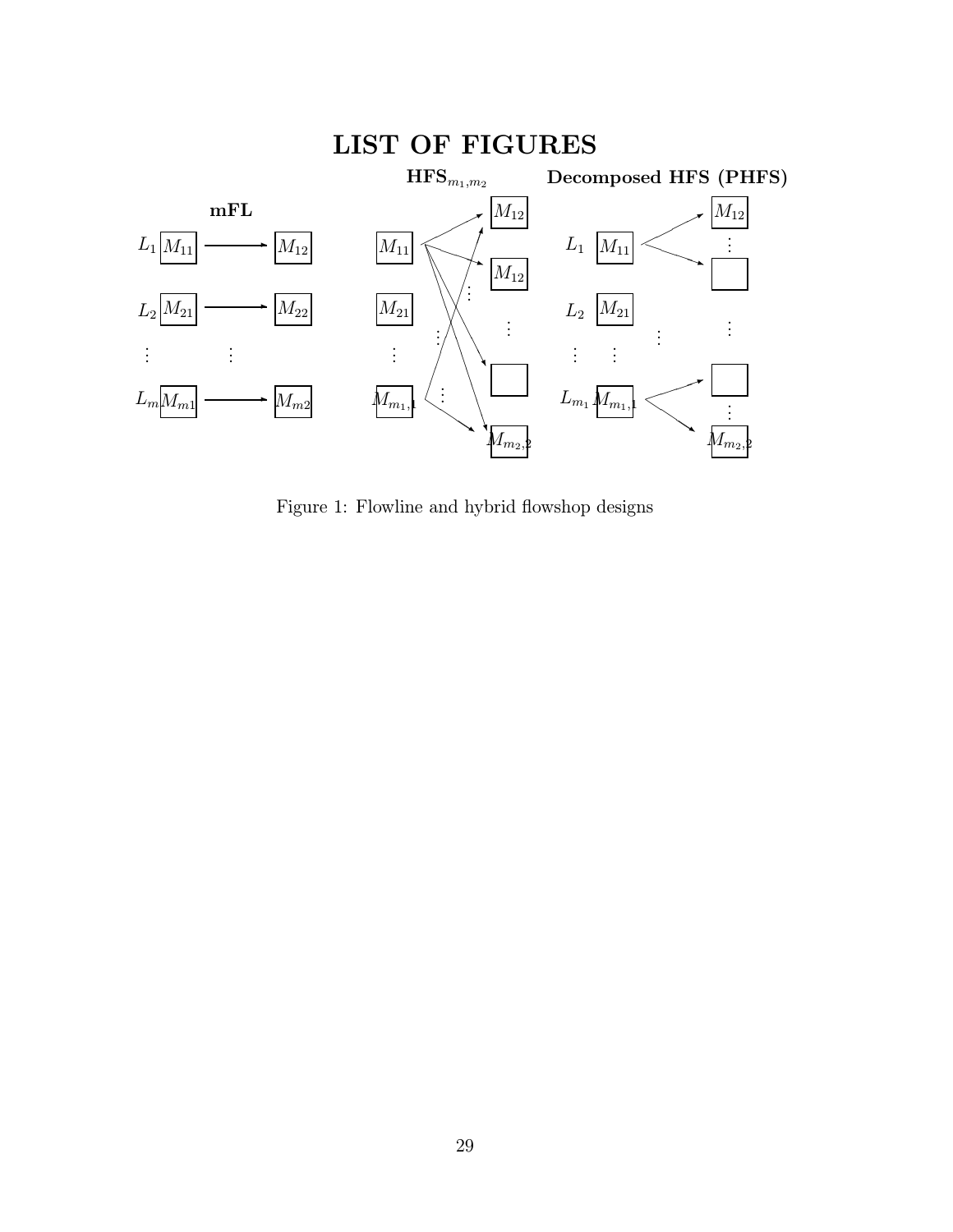

Figure 1: Flowline and hybrid flowshop designs